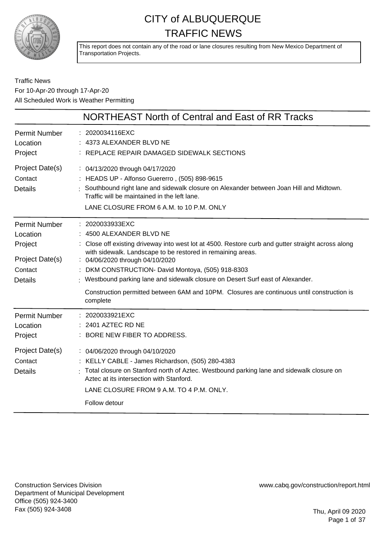

This report does not contain any of the road or lane closures resulting from New Mexico Department of Transportation Projects.

#### Traffic News For 10-Apr-20 through 17-Apr-20 All Scheduled Work is Weather Permitting

|                                                                                             | NORTHEAST North of Central and East of RR Tracks                                                                                                                                                                                                                                                                                                                                                                                                                                                    |
|---------------------------------------------------------------------------------------------|-----------------------------------------------------------------------------------------------------------------------------------------------------------------------------------------------------------------------------------------------------------------------------------------------------------------------------------------------------------------------------------------------------------------------------------------------------------------------------------------------------|
| <b>Permit Number</b><br>Location<br>Project                                                 | 2020034116EXC<br>: 4373 ALEXANDER BLVD NE<br>: REPLACE REPAIR DAMAGED SIDEWALK SECTIONS                                                                                                                                                                                                                                                                                                                                                                                                             |
| Project Date(s)<br>Contact<br><b>Details</b>                                                | : 04/13/2020 through 04/17/2020<br>: HEADS UP - Alfonso Guererro, (505) 898-9615<br>: Southbound right lane and sidewalk closure on Alexander between Joan Hill and Midtown.<br>Traffic will be maintained in the left lane.<br>LANE CLOSURE FROM 6 A.M. to 10 P.M. ONLY                                                                                                                                                                                                                            |
| <b>Permit Number</b><br>Location<br>Project<br>Project Date(s)<br>Contact<br><b>Details</b> | : 2020033933EXC<br>: 4500 ALEXANDER BLVD NE<br>Close off existing driveway into west lot at 4500. Restore curb and gutter straight across along<br>with sidewalk. Landscape to be restored in remaining areas.<br>: 04/06/2020 through 04/10/2020<br>: DKM CONSTRUCTION- David Montoya, (505) 918-8303<br>: Westbound parking lane and sidewalk closure on Desert Surf east of Alexander.<br>Construction permitted between 6AM and 10PM. Closures are continuous until construction is<br>complete |
| <b>Permit Number</b><br>Location<br>Project<br>Project Date(s)<br>Contact<br><b>Details</b> | : 2020033921EXC<br>2401 AZTEC RD NE<br>: BORE NEW FIBER TO ADDRESS.<br>: 04/06/2020 through 04/10/2020<br>: KELLY CABLE - James Richardson, (505) 280-4383<br>: Total closure on Stanford north of Aztec. Westbound parking lane and sidewalk closure on                                                                                                                                                                                                                                            |
|                                                                                             | Aztec at its intersection with Stanford.<br>LANE CLOSURE FROM 9 A.M. TO 4 P.M. ONLY.<br>Follow detour                                                                                                                                                                                                                                                                                                                                                                                               |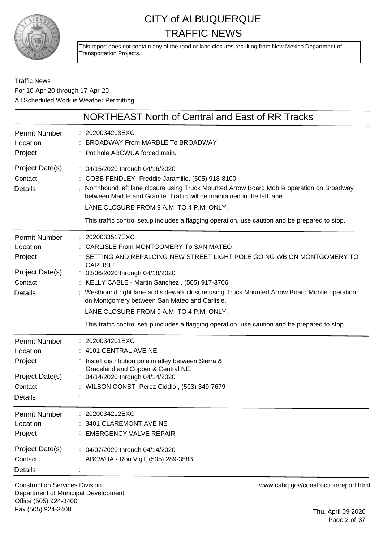

This report does not contain any of the road or lane closures resulting from New Mexico Department of Transportation Projects.

#### Traffic News For 10-Apr-20 through 17-Apr-20 All Scheduled Work is Weather Permitting

|                                                                                             | NORTHEAST North of Central and East of RR Tracks                                                                                                                                                                                                                                                                                                                                                                                                                                                                                 |
|---------------------------------------------------------------------------------------------|----------------------------------------------------------------------------------------------------------------------------------------------------------------------------------------------------------------------------------------------------------------------------------------------------------------------------------------------------------------------------------------------------------------------------------------------------------------------------------------------------------------------------------|
| <b>Permit Number</b><br>Location<br>Project                                                 | : 2020034203EXC<br>BROADWAY From MARBLE To BROADWAY<br>: Pot hole ABCWUA forced main.                                                                                                                                                                                                                                                                                                                                                                                                                                            |
| Project Date(s)<br>Contact<br><b>Details</b>                                                | : 04/15/2020 through 04/16/2020<br>: COBB FENDLEY- Freddie Jaramillo, (505) 918-8100<br>Northbound left lane closure using Truck Mounted Arrow Board Mobile operation on Broadway<br>between Marble and Granite. Traffic will be maintained in the left lane.<br>LANE CLOSURE FROM 9 A.M. TO 4 P.M. ONLY.<br>This traffic control setup includes a flagging operation, use caution and be prepared to stop.                                                                                                                      |
| <b>Permit Number</b><br>Location<br>Project<br>Project Date(s)<br>Contact<br><b>Details</b> | : 2020033517EXC<br>CARLISLE From MONTGOMERY To SAN MATEO<br>SETTING AND REPALCING NEW STREET LIGHT POLE GOING WB ON MONTGOMERY TO<br>CARLISLE.<br>: 03/06/2020 through 04/18/2020<br>: KELLY CABLE - Martin Sanchez, (505) 917-3706<br>Westbound right lane and sidewalk closure using Truck Mounted Arrow Board Mobile operation<br>on Montgomery between San Mateo and Carlisle.<br>LANE CLOSURE FROM 9 A.M. TO 4 P.M. ONLY.<br>This traffic control setup includes a flagging operation, use caution and be prepared to stop. |
| <b>Permit Number</b><br>Location<br>Project<br>Project Date(s)<br>Contact<br>Details        | : 2020034201EXC<br>: 4101 CENTRAL AVE NE<br>: Install distribution pole in alley between Sierra &<br>Graceland and Copper & Central NE.<br>: 04/14/2020 through 04/14/2020<br>: WILSON CONST- Perez Ciddio, (503) 349-7679                                                                                                                                                                                                                                                                                                       |
| <b>Permit Number</b><br>Location<br>Project<br>Project Date(s)<br>Contact<br><b>Details</b> | : 2020034212EXC<br>3401 CLAREMONT AVE NE<br><b>EMERGENCY VALVE REPAIR</b><br>: 04/07/2020 through 04/14/2020<br>ABCWUA - Ron Vigil, (505) 289-3583                                                                                                                                                                                                                                                                                                                                                                               |

Construction Services Division Department of Municipal Development Office (505) 924-3400 Fax (505) 924-3408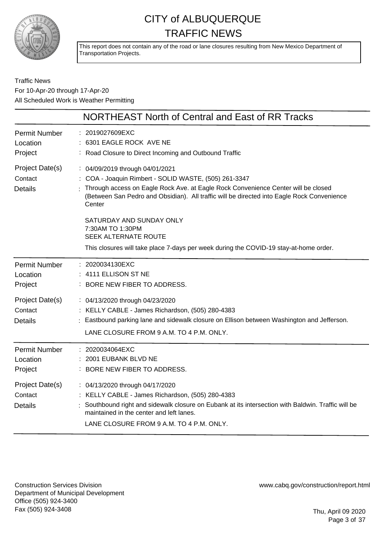

This report does not contain any of the road or lane closures resulting from New Mexico Department of Transportation Projects.

#### Traffic News For 10-Apr-20 through 17-Apr-20 All Scheduled Work is Weather Permitting

|                                              | NORTHEAST North of Central and East of RR Tracks                                                                                                                                                                                                                                                                                                                                                                                                     |
|----------------------------------------------|------------------------------------------------------------------------------------------------------------------------------------------------------------------------------------------------------------------------------------------------------------------------------------------------------------------------------------------------------------------------------------------------------------------------------------------------------|
| <b>Permit Number</b><br>Location<br>Project  | : 2019027609EXC<br>6301 EAGLE ROCK AVE NE<br>: Road Closure to Direct Incoming and Outbound Traffic                                                                                                                                                                                                                                                                                                                                                  |
| Project Date(s)<br>Contact<br><b>Details</b> | : 04/09/2019 through 04/01/2021<br>COA - Joaquin Rimbert - SOLID WASTE, (505) 261-3347<br>Through access on Eagle Rock Ave. at Eagle Rock Convenience Center will be closed<br>(Between San Pedro and Obsidian). All traffic will be directed into Eagle Rock Convenience<br>Center<br>SATURDAY AND SUNDAY ONLY<br>7:30AM TO 1:30PM<br>SEEK ALTERNATE ROUTE<br>This closures will take place 7-days per week during the COVID-19 stay-at-home order. |
| <b>Permit Number</b><br>Location<br>Project  | : 2020034130EXC<br>4111 ELLISON ST NE<br>: BORE NEW FIBER TO ADDRESS.                                                                                                                                                                                                                                                                                                                                                                                |
| Project Date(s)<br>Contact<br><b>Details</b> | : 04/13/2020 through 04/23/2020<br>: KELLY CABLE - James Richardson, (505) 280-4383<br>Eastbound parking lane and sidewalk closure on Ellison between Washington and Jefferson.<br>LANE CLOSURE FROM 9 A.M. TO 4 P.M. ONLY.                                                                                                                                                                                                                          |
| <b>Permit Number</b><br>Location<br>Project  | 2020034064EXC<br>2001 EUBANK BLVD NE<br>BORE NEW FIBER TO ADDRESS.                                                                                                                                                                                                                                                                                                                                                                                   |
| Project Date(s)<br>Contact<br><b>Details</b> | : 04/13/2020 through 04/17/2020<br>: KELLY CABLE - James Richardson, (505) 280-4383<br>Southbound right and sidewalk closure on Eubank at its intersection with Baldwin. Traffic will be<br>maintained in the center and left lanes.<br>LANE CLOSURE FROM 9 A.M. TO 4 P.M. ONLY.                                                                                                                                                                     |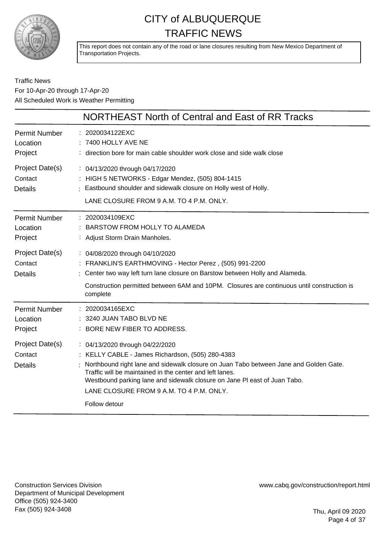

This report does not contain any of the road or lane closures resulting from New Mexico Department of Transportation Projects.

#### Traffic News For 10-Apr-20 through 17-Apr-20 All Scheduled Work is Weather Permitting

|                                              | NORTHEAST North of Central and East of RR Tracks                                                                                                                                                                                                                                                                                                                                   |
|----------------------------------------------|------------------------------------------------------------------------------------------------------------------------------------------------------------------------------------------------------------------------------------------------------------------------------------------------------------------------------------------------------------------------------------|
| <b>Permit Number</b><br>Location<br>Project  | : 2020034122EXC<br>7400 HOLLY AVE NE<br>: direction bore for main cable shoulder work close and side walk close                                                                                                                                                                                                                                                                    |
| Project Date(s)<br>Contact<br><b>Details</b> | : 04/13/2020 through 04/17/2020<br>: HIGH 5 NETWORKS - Edgar Mendez, (505) 804-1415<br>: Eastbound shoulder and sidewalk closure on Holly west of Holly.<br>LANE CLOSURE FROM 9 A.M. TO 4 P.M. ONLY.                                                                                                                                                                               |
| <b>Permit Number</b><br>Location<br>Project  | : 2020034109EXC<br><b>BARSTOW FROM HOLLY TO ALAMEDA</b><br>: Adjust Storm Drain Manholes.                                                                                                                                                                                                                                                                                          |
| Project Date(s)<br>Contact<br><b>Details</b> | : 04/08/2020 through 04/10/2020<br>: FRANKLIN'S EARTHMOVING - Hector Perez, (505) 991-2200<br>: Center two way left turn lane closure on Barstow between Holly and Alameda.<br>Construction permitted between 6AM and 10PM. Closures are continuous until construction is<br>complete                                                                                              |
| <b>Permit Number</b><br>Location<br>Project  | : 2020034165EXC<br>3240 JUAN TABO BLVD NE<br>BORE NEW FIBER TO ADDRESS.                                                                                                                                                                                                                                                                                                            |
| Project Date(s)<br>Contact<br><b>Details</b> | : 04/13/2020 through 04/22/2020<br>: KELLY CABLE - James Richardson, (505) 280-4383<br>Northbound right lane and sidewalk closure on Juan Tabo between Jane and Golden Gate.<br>Traffic will be maintained in the center and left lanes.<br>Westbound parking lane and sidewalk closure on Jane PI east of Juan Tabo.<br>LANE CLOSURE FROM 9 A.M. TO 4 P.M. ONLY.<br>Follow detour |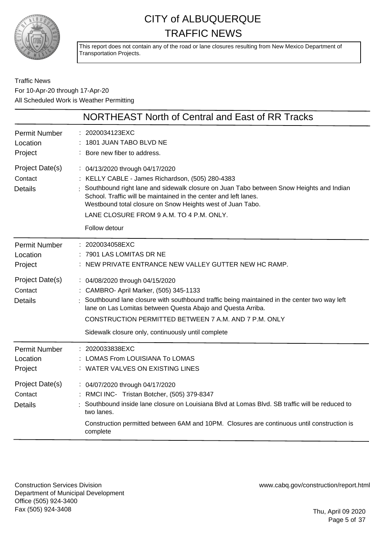

This report does not contain any of the road or lane closures resulting from New Mexico Department of Transportation Projects.

Traffic News For 10-Apr-20 through 17-Apr-20 All Scheduled Work is Weather Permitting

|                                              | NORTHEAST North of Central and East of RR Tracks                                                                                                                                                                                                                                                                                                                            |
|----------------------------------------------|-----------------------------------------------------------------------------------------------------------------------------------------------------------------------------------------------------------------------------------------------------------------------------------------------------------------------------------------------------------------------------|
| <b>Permit Number</b><br>Location<br>Project  | 2020034123EXC<br>1801 JUAN TABO BLVD NE<br>Bore new fiber to address.                                                                                                                                                                                                                                                                                                       |
| Project Date(s)<br>Contact<br><b>Details</b> | : 04/13/2020 through 04/17/2020<br>KELLY CABLE - James Richardson, (505) 280-4383<br>Southbound right lane and sidewalk closure on Juan Tabo between Snow Heights and Indian<br>School. Traffic will be maintained in the center and left lanes.<br>Westbound total closure on Snow Heights west of Juan Tabo.<br>LANE CLOSURE FROM 9 A.M. TO 4 P.M. ONLY.<br>Follow detour |
| <b>Permit Number</b><br>Location<br>Project  | : 2020034058EXC<br>7901 LAS LOMITAS DR NE<br>NEW PRIVATE ENTRANCE NEW VALLEY GUTTER NEW HC RAMP.                                                                                                                                                                                                                                                                            |
| Project Date(s)<br>Contact<br><b>Details</b> | : 04/08/2020 through 04/15/2020<br>: CAMBRO- April Marker, (505) 345-1133<br>Southbound lane closure with southbound traffic being maintained in the center two way left<br>lane on Las Lomitas between Questa Abajo and Questa Arriba.<br>CONSTRUCTION PERMITTED BETWEEN 7 A.M. AND 7 P.M. ONLY<br>Sidewalk closure only, continuously until complete                      |
| <b>Permit Number</b><br>Location<br>Project  | : 2020033838EXC<br>LOMAS From LOUISIANA To LOMAS<br>WATER VALVES ON EXISTING LINES                                                                                                                                                                                                                                                                                          |
| Project Date(s)<br>Contact<br><b>Details</b> | : 04/07/2020 through 04/17/2020<br>RMCI INC- Tristan Botcher, (505) 379-8347<br>Southbound inside lane closure on Louisiana Blvd at Lomas Blvd. SB traffic will be reduced to<br>two lanes.<br>Construction permitted between 6AM and 10PM. Closures are continuous until construction is<br>complete                                                                       |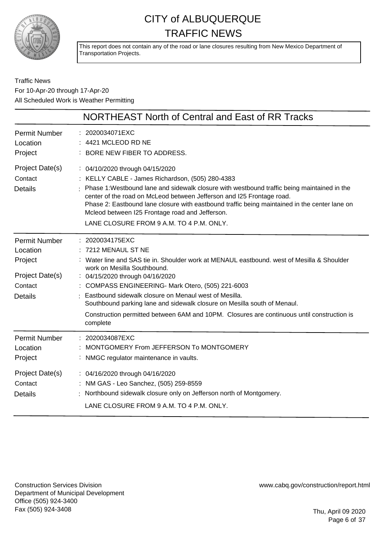

This report does not contain any of the road or lane closures resulting from New Mexico Department of Transportation Projects.

Traffic News For 10-Apr-20 through 17-Apr-20 All Scheduled Work is Weather Permitting

|                                                                                             | NORTHEAST North of Central and East of RR Tracks                                                                                                                                                                                                                                                                                                                                                                                                                                                       |
|---------------------------------------------------------------------------------------------|--------------------------------------------------------------------------------------------------------------------------------------------------------------------------------------------------------------------------------------------------------------------------------------------------------------------------------------------------------------------------------------------------------------------------------------------------------------------------------------------------------|
| <b>Permit Number</b><br>Location<br>Project                                                 | : 2020034071EXC<br>4421 MCLEOD RD NE<br>BORE NEW FIBER TO ADDRESS.                                                                                                                                                                                                                                                                                                                                                                                                                                     |
| Project Date(s)<br>Contact<br><b>Details</b>                                                | : 04/10/2020 through 04/15/2020<br>: KELLY CABLE - James Richardson, (505) 280-4383<br>Phase 1: Westbound lane and sidewalk closure with westbound traffic being maintained in the<br>center of the road on McLeod between Jefferson and I25 Frontage road.<br>Phase 2: Eastbound lane closure with eastbound traffic being maintained in the center lane on<br>Mcleod between I25 Frontage road and Jefferson.<br>LANE CLOSURE FROM 9 A.M. TO 4 P.M. ONLY.                                            |
| <b>Permit Number</b><br>Location<br>Project<br>Project Date(s)<br>Contact<br><b>Details</b> | : 2020034175EXC<br>7212 MENAUL ST NE<br>Water line and SAS tie in. Shoulder work at MENAUL eastbound. west of Mesilla & Shoulder<br>work on Mesilla Southbound.<br>: 04/15/2020 through 04/16/2020<br>: COMPASS ENGINEERING- Mark Otero, (505) 221-6003<br>Eastbound sidewalk closure on Menaul west of Mesilla.<br>Southbound parking lane and sidewalk closure on Mesilla south of Menaul.<br>Construction permitted between 6AM and 10PM. Closures are continuous until construction is<br>complete |
| <b>Permit Number</b><br>Location<br>Project                                                 | 2020034087EXC<br>MONTGOMERY From JEFFERSON To MONTGOMERY<br>: NMGC regulator maintenance in vaults.                                                                                                                                                                                                                                                                                                                                                                                                    |
| Project Date(s)<br>Contact<br><b>Details</b>                                                | : 04/16/2020 through 04/16/2020<br>: NM GAS - Leo Sanchez, (505) 259-8559<br>Northbound sidewalk closure only on Jefferson north of Montgomery.<br>LANE CLOSURE FROM 9 A.M. TO 4 P.M. ONLY.                                                                                                                                                                                                                                                                                                            |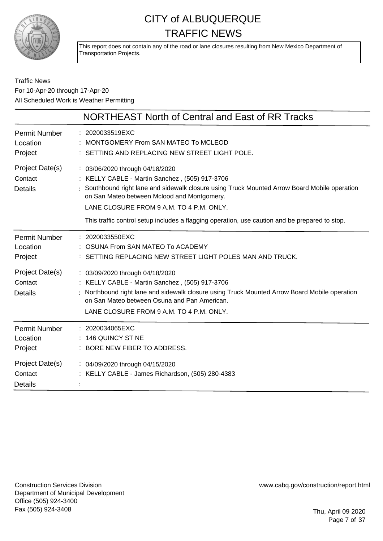

This report does not contain any of the road or lane closures resulting from New Mexico Department of Transportation Projects.

#### Traffic News For 10-Apr-20 through 17-Apr-20 All Scheduled Work is Weather Permitting

|                                              | NORTHEAST North of Central and East of RR Tracks                                                                                                                                                                                                                                                                                                                                |
|----------------------------------------------|---------------------------------------------------------------------------------------------------------------------------------------------------------------------------------------------------------------------------------------------------------------------------------------------------------------------------------------------------------------------------------|
| Permit Number<br>Location<br>Project         | : 2020033519EXC<br>MONTGOMERY From SAN MATEO To MCLEOD<br>: SETTING AND REPLACING NEW STREET LIGHT POLE.                                                                                                                                                                                                                                                                        |
| Project Date(s)<br>Contact<br><b>Details</b> | : 03/06/2020 through 04/18/2020<br>: KELLY CABLE - Martin Sanchez, (505) 917-3706<br>: Southbound right lane and sidewalk closure using Truck Mounted Arrow Board Mobile operation<br>on San Mateo between Mclood and Montgomery.<br>LANE CLOSURE FROM 9 A.M. TO 4 P.M. ONLY.<br>This traffic control setup includes a flagging operation, use caution and be prepared to stop. |
| <b>Permit Number</b><br>Location<br>Project  | : 2020033550EXC<br>OSUNA From SAN MATEO To ACADEMY<br>: SETTING REPLACING NEW STREET LIGHT POLES MAN AND TRUCK.                                                                                                                                                                                                                                                                 |
| Project Date(s)<br>Contact<br><b>Details</b> | : 03/09/2020 through 04/18/2020<br>: KELLY CABLE - Martin Sanchez, (505) 917-3706<br>Northbound right lane and sidewalk closure using Truck Mounted Arrow Board Mobile operation<br>on San Mateo between Osuna and Pan American.<br>LANE CLOSURE FROM 9 A.M. TO 4 P.M. ONLY.                                                                                                    |
| <b>Permit Number</b><br>Location<br>Project  | $: 2020034065$ EXC<br>146 QUINCY ST NE<br>: BORE NEW FIBER TO ADDRESS.                                                                                                                                                                                                                                                                                                          |
| Project Date(s)<br>Contact<br><b>Details</b> | : 04/09/2020 through 04/15/2020<br>: KELLY CABLE - James Richardson, (505) 280-4383                                                                                                                                                                                                                                                                                             |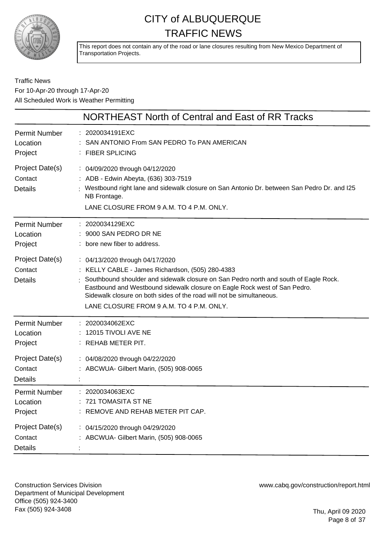

This report does not contain any of the road or lane closures resulting from New Mexico Department of Transportation Projects.

#### Traffic News For 10-Apr-20 through 17-Apr-20 All Scheduled Work is Weather Permitting

|                                              | NORTHEAST North of Central and East of RR Tracks                                                                                                                                                                                                                                                                                                                             |
|----------------------------------------------|------------------------------------------------------------------------------------------------------------------------------------------------------------------------------------------------------------------------------------------------------------------------------------------------------------------------------------------------------------------------------|
| <b>Permit Number</b><br>Location<br>Project  | : 2020034191EXC<br>SAN ANTONIO From SAN PEDRO To PAN AMERICAN<br>: FIBER SPLICING                                                                                                                                                                                                                                                                                            |
| Project Date(s)<br>Contact<br><b>Details</b> | : 04/09/2020 through 04/12/2020<br>: ADB - Edwin Abeyta, (636) 303-7519<br>Westbound right lane and sidewalk closure on San Antonio Dr. between San Pedro Dr. and I25<br>NB Frontage.<br>LANE CLOSURE FROM 9 A.M. TO 4 P.M. ONLY.                                                                                                                                            |
| Permit Number<br>Location<br>Project         | : 2020034129EXC<br>9000 SAN PEDRO DR NE<br>: bore new fiber to address.                                                                                                                                                                                                                                                                                                      |
| Project Date(s)<br>Contact<br><b>Details</b> | : 04/13/2020 through 04/17/2020<br>: KELLY CABLE - James Richardson, (505) 280-4383<br>Southbound shoulder and sidewalk closure on San Pedro north and south of Eagle Rock.<br>Eastbound and Westbound sidewalk closure on Eagle Rock west of San Pedro.<br>Sidewalk closure on both sides of the road will not be simultaneous.<br>LANE CLOSURE FROM 9 A.M. TO 4 P.M. ONLY. |
| Permit Number<br>Location<br>Project         | : 2020034062EXC<br>: 12015 TIVOLI AVE NE<br>$:$ REHAB METER PIT.                                                                                                                                                                                                                                                                                                             |
| Project Date(s)<br>Contact<br><b>Details</b> | : 04/08/2020 through 04/22/2020<br>: ABCWUA- Gilbert Marin, (505) 908-0065                                                                                                                                                                                                                                                                                                   |
| <b>Permit Number</b><br>Location<br>Project  | : 2020034063EXC<br>721 TOMASITA ST NE<br>REMOVE AND REHAB METER PIT CAP.                                                                                                                                                                                                                                                                                                     |
| Project Date(s)<br>Contact<br><b>Details</b> | : 04/15/2020 through 04/29/2020<br>: ABCWUA- Gilbert Marin, (505) 908-0065                                                                                                                                                                                                                                                                                                   |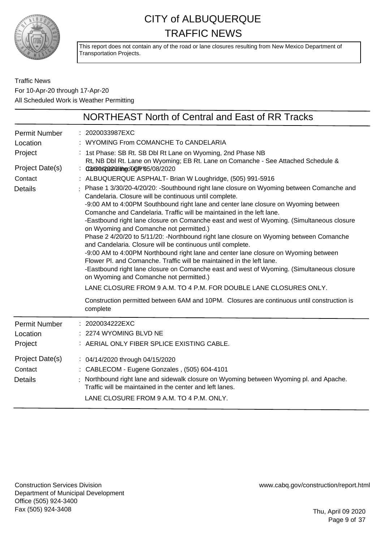

This report does not contain any of the road or lane closures resulting from New Mexico Department of Transportation Projects.

Traffic News For 10-Apr-20 through 17-Apr-20 All Scheduled Work is Weather Permitting

|                                                                                             | NORTHEAST North of Central and East of RR Tracks                                                                                                                                                                                                                                                                                                                                                                                                                                                                                                                                                                                                                                                                                                                                                                                                                                                                                                                                                                                                                                                                                                                                                                                                                                                                                                                                                                                       |
|---------------------------------------------------------------------------------------------|----------------------------------------------------------------------------------------------------------------------------------------------------------------------------------------------------------------------------------------------------------------------------------------------------------------------------------------------------------------------------------------------------------------------------------------------------------------------------------------------------------------------------------------------------------------------------------------------------------------------------------------------------------------------------------------------------------------------------------------------------------------------------------------------------------------------------------------------------------------------------------------------------------------------------------------------------------------------------------------------------------------------------------------------------------------------------------------------------------------------------------------------------------------------------------------------------------------------------------------------------------------------------------------------------------------------------------------------------------------------------------------------------------------------------------------|
| <b>Permit Number</b><br>Location<br>Project<br>Project Date(s)<br>Contact<br><b>Details</b> | : 2020033987EXC<br>: WYOMING From COMANCHE To CANDELARIA<br>: 1st Phase: SB Rt. SB Dbl Rt Lane on Wyoming, 2nd Phase NB<br>Rt, NB Dbl Rt. Lane on Wyoming; EB Rt. Lane on Comanche - See Attached Schedule &<br>: 03/38 \$2022 @ ditingo Tig R' (85/08/2020<br>: ALBUQUERQUE ASPHALT- Brian W Loughridge, (505) 991-5916<br>: Phase 1 3/30/20-4/20/20: -Southbound right lane closure on Wyoming between Comanche and<br>Candelaria. Closure will be continuous until complete.<br>-9:00 AM to 4:00PM Southbound right lane and center lane closure on Wyoming between<br>Comanche and Candelaria. Traffic will be maintained in the left lane.<br>-Eastbound right lane closure on Comanche east and west of Wyoming. (Simultaneous closure<br>on Wyoming and Comanche not permitted.)<br>Phase 2 4/20/20 to 5/11/20: -Northbound right lane closure on Wyoming between Comanche<br>and Candelaria. Closure will be continuous until complete.<br>-9:00 AM to 4:00PM Northbound right lane and center lane closure on Wyoming between<br>Flower PI, and Comanche. Traffic will be maintained in the left lane.<br>-Eastbound right lane closure on Comanche east and west of Wyoming. (Simultaneous closure<br>on Wyoming and Comanche not permitted.)<br>LANE CLOSURE FROM 9 A.M. TO 4 P.M. FOR DOUBLE LANE CLOSURES ONLY.<br>Construction permitted between 6AM and 10PM. Closures are continuous until construction is<br>complete |
| <b>Permit Number</b><br>Location<br>Project                                                 | : 2020034222EXC<br>2274 WYOMING BLVD NE<br>: AERIAL ONLY FIBER SPLICE EXISTING CABLE.                                                                                                                                                                                                                                                                                                                                                                                                                                                                                                                                                                                                                                                                                                                                                                                                                                                                                                                                                                                                                                                                                                                                                                                                                                                                                                                                                  |
| Project Date(s)<br>Contact<br><b>Details</b>                                                | : 04/14/2020 through 04/15/2020<br>: CABLECOM - Eugene Gonzales, (505) 604-4101<br>: Northbound right lane and sidewalk closure on Wyoming between Wyoming pl. and Apache.<br>Traffic will be maintained in the center and left lanes.<br>LANE CLOSURE FROM 9 A.M. TO 4 P.M. ONLY.                                                                                                                                                                                                                                                                                                                                                                                                                                                                                                                                                                                                                                                                                                                                                                                                                                                                                                                                                                                                                                                                                                                                                     |

Construction Services Division Department of Municipal Development Office (505) 924-3400 Fax (505) 924-3408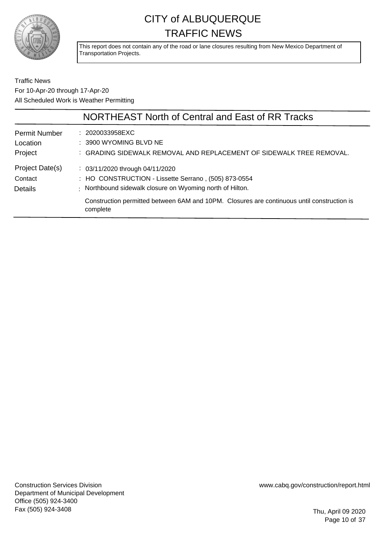

This report does not contain any of the road or lane closures resulting from New Mexico Department of Transportation Projects.

Traffic News For 10-Apr-20 through 17-Apr-20 All Scheduled Work is Weather Permitting

|                                  | NORTHEAST North of Central and East of RR Tracks                                                                                                                                                                |
|----------------------------------|-----------------------------------------------------------------------------------------------------------------------------------------------------------------------------------------------------------------|
| <b>Permit Number</b><br>Location | : 2020033958EXC<br>: 3900 WYOMING BLVD NE                                                                                                                                                                       |
| Project<br>Project Date(s)       | : GRADING SIDEWALK REMOVAL AND REPLACEMENT OF SIDEWALK TREE REMOVAL.<br>$\therefore$ 03/11/2020 through 04/11/2020                                                                                              |
| Contact<br><b>Details</b>        | : HO CONSTRUCTION - Lissette Serrano, (505) 873-0554<br>: Northbound sidewalk closure on Wyoming north of Hilton.<br>Construction permitted between 6AM and 10PM. Closures are continuous until construction is |
|                                  | complete                                                                                                                                                                                                        |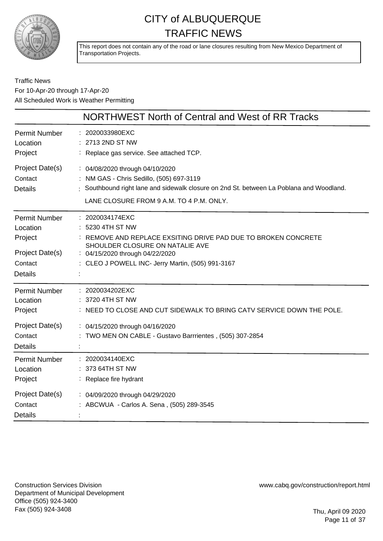

This report does not contain any of the road or lane closures resulting from New Mexico Department of Transportation Projects.

#### Traffic News For 10-Apr-20 through 17-Apr-20 All Scheduled Work is Weather Permitting

|                                              | NORTHWEST North of Central and West of RR Tracks                                                                                                                                                                    |
|----------------------------------------------|---------------------------------------------------------------------------------------------------------------------------------------------------------------------------------------------------------------------|
| Permit Number                                | : 2020033980EXC                                                                                                                                                                                                     |
| Location                                     | : 2713 2ND ST NW                                                                                                                                                                                                    |
| Project                                      | : Replace gas service. See attached TCP.                                                                                                                                                                            |
| Project Date(s)<br>Contact<br><b>Details</b> | : 04/08/2020 through 04/10/2020<br>: NM GAS - Chris Sedillo, (505) 697-3119<br>: Southbound right lane and sidewalk closure on 2nd St. between La Poblana and Woodland.<br>LANE CLOSURE FROM 9 A.M. TO 4 P.M. ONLY. |
| Permit Number                                | : 2020034174EXC                                                                                                                                                                                                     |
| Location                                     | 5230 4TH ST NW                                                                                                                                                                                                      |
| Project                                      | : REMOVE AND REPLACE EXSITING DRIVE PAD DUE TO BROKEN CONCRETE                                                                                                                                                      |
| Project Date(s)                              | SHOULDER CLOSURE ON NATALIE AVE                                                                                                                                                                                     |
| Contact                                      | : 04/15/2020 through 04/22/2020                                                                                                                                                                                     |
| <b>Details</b>                               | : CLEO J POWELL INC- Jerry Martin, (505) 991-3167                                                                                                                                                                   |
| Permit Number                                | : 2020034202EXC                                                                                                                                                                                                     |
| Location                                     | 3720 4TH ST NW                                                                                                                                                                                                      |
| Project                                      | : NEED TO CLOSE AND CUT SIDEWALK TO BRING CATV SERVICE DOWN THE POLE.                                                                                                                                               |
| Project Date(s)                              | : 04/15/2020 through 04/16/2020                                                                                                                                                                                     |
| Contact<br><b>Details</b>                    | : TWO MEN ON CABLE - Gustavo Barrrientes, (505) 307-2854                                                                                                                                                            |
| Permit Number                                | : 2020034140EXC                                                                                                                                                                                                     |
| Location                                     | 373 64TH ST NW                                                                                                                                                                                                      |
| Project                                      | : Replace fire hydrant                                                                                                                                                                                              |
| Project Date(s)<br>Contact<br><b>Details</b> | : 04/09/2020 through 04/29/2020<br>: ABCWUA - Carlos A. Sena, (505) 289-3545                                                                                                                                        |

Construction Services Division Department of Municipal Development Office (505) 924-3400 Fax (505) 924-3408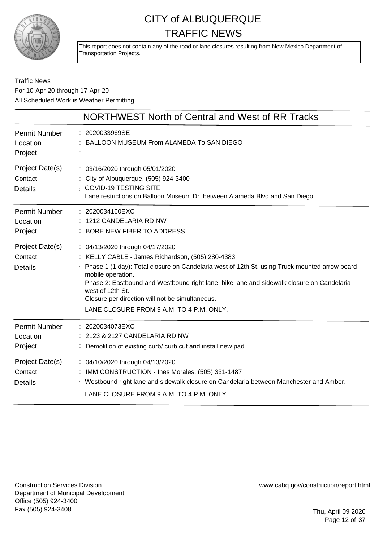

This report does not contain any of the road or lane closures resulting from New Mexico Department of Transportation Projects.

#### Traffic News For 10-Apr-20 through 17-Apr-20 All Scheduled Work is Weather Permitting

|                                              | NORTHWEST North of Central and West of RR Tracks                                                                                                                                                                                                                                                                                                                                                                          |
|----------------------------------------------|---------------------------------------------------------------------------------------------------------------------------------------------------------------------------------------------------------------------------------------------------------------------------------------------------------------------------------------------------------------------------------------------------------------------------|
| <b>Permit Number</b><br>Location<br>Project  | : 2020033969SE<br>BALLOON MUSEUM From ALAMEDA To SAN DIEGO                                                                                                                                                                                                                                                                                                                                                                |
| Project Date(s)<br>Contact<br><b>Details</b> | : 03/16/2020 through 05/01/2020<br>: City of Albuquerque, (505) 924-3400<br>: COVID-19 TESTING SITE<br>Lane restrictions on Balloon Museum Dr. between Alameda Blvd and San Diego.                                                                                                                                                                                                                                        |
| Permit Number<br>Location<br>Project         | : 2020034160EXC<br>: 1212 CANDELARIA RD NW<br>: BORE NEW FIBER TO ADDRESS.                                                                                                                                                                                                                                                                                                                                                |
| Project Date(s)<br>Contact<br><b>Details</b> | : 04/13/2020 through 04/17/2020<br>: KELLY CABLE - James Richardson, (505) 280-4383<br>Phase 1 (1 day): Total closure on Candelaria west of 12th St. using Truck mounted arrow board<br>mobile operation.<br>Phase 2: Eastbound and Westbound right lane, bike lane and sidewalk closure on Candelaria<br>west of 12th St.<br>Closure per direction will not be simultaneous.<br>LANE CLOSURE FROM 9 A.M. TO 4 P.M. ONLY. |
| Permit Number<br>Location<br>Project         | : 2020034073EXC<br>: 2123 & 2127 CANDELARIA RD NW<br>: Demolition of existing curb/ curb cut and install new pad.                                                                                                                                                                                                                                                                                                         |
| Project Date(s)<br>Contact<br><b>Details</b> | : 04/10/2020 through 04/13/2020<br>: IMM CONSTRUCTION - Ines Morales, (505) 331-1487<br>: Westbound right lane and sidewalk closure on Candelaria between Manchester and Amber.<br>LANE CLOSURE FROM 9 A.M. TO 4 P.M. ONLY.                                                                                                                                                                                               |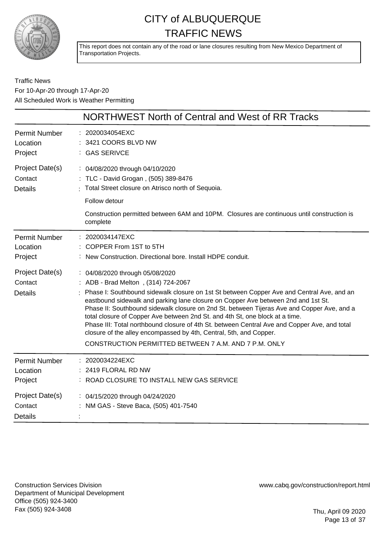

This report does not contain any of the road or lane closures resulting from New Mexico Department of Transportation Projects.

Traffic News For 10-Apr-20 through 17-Apr-20 All Scheduled Work is Weather Permitting

|                                              | NORTHWEST North of Central and West of RR Tracks                                                                                                                                                                                                                                                                                                                                                                                                                                                                                                                                                                                                                      |
|----------------------------------------------|-----------------------------------------------------------------------------------------------------------------------------------------------------------------------------------------------------------------------------------------------------------------------------------------------------------------------------------------------------------------------------------------------------------------------------------------------------------------------------------------------------------------------------------------------------------------------------------------------------------------------------------------------------------------------|
| <b>Permit Number</b>                         | 2020034054EXC                                                                                                                                                                                                                                                                                                                                                                                                                                                                                                                                                                                                                                                         |
| Location                                     | 3421 COORS BLVD NW                                                                                                                                                                                                                                                                                                                                                                                                                                                                                                                                                                                                                                                    |
| Project                                      | : GAS SERIVCE                                                                                                                                                                                                                                                                                                                                                                                                                                                                                                                                                                                                                                                         |
| Project Date(s)                              | : 04/08/2020 through 04/10/2020                                                                                                                                                                                                                                                                                                                                                                                                                                                                                                                                                                                                                                       |
| Contact                                      | TLC - David Grogan, (505) 389-8476                                                                                                                                                                                                                                                                                                                                                                                                                                                                                                                                                                                                                                    |
| <b>Details</b>                               | Total Street closure on Atrisco north of Sequoia.                                                                                                                                                                                                                                                                                                                                                                                                                                                                                                                                                                                                                     |
|                                              | Follow detour<br>Construction permitted between 6AM and 10PM. Closures are continuous until construction is<br>complete                                                                                                                                                                                                                                                                                                                                                                                                                                                                                                                                               |
| <b>Permit Number</b>                         | 2020034147EXC                                                                                                                                                                                                                                                                                                                                                                                                                                                                                                                                                                                                                                                         |
| Location                                     | COPPER From 1ST to 5TH                                                                                                                                                                                                                                                                                                                                                                                                                                                                                                                                                                                                                                                |
| Project                                      | : New Construction. Directional bore. Install HDPE conduit.                                                                                                                                                                                                                                                                                                                                                                                                                                                                                                                                                                                                           |
| Project Date(s)<br>Contact<br><b>Details</b> | : 04/08/2020 through 05/08/2020<br>: ADB - Brad Melton, (314) 724-2067<br>Phase I: Southbound sidewalk closure on 1st St between Copper Ave and Central Ave, and an<br>eastbound sidewalk and parking lane closure on Copper Ave between 2nd and 1st St.<br>Phase II: Southbound sidewalk closure on 2nd St. between Tijeras Ave and Copper Ave, and a<br>total closure of Copper Ave between 2nd St. and 4th St, one block at a time.<br>Phase III: Total northbound closure of 4th St. between Central Ave and Copper Ave, and total<br>closure of the alley encompassed by 4th, Central, 5th, and Copper.<br>CONSTRUCTION PERMITTED BETWEEN 7 A.M. AND 7 P.M. ONLY |
| <b>Permit Number</b>                         | 2020034224EXC                                                                                                                                                                                                                                                                                                                                                                                                                                                                                                                                                                                                                                                         |
| Location                                     | 2419 FLORAL RD NW                                                                                                                                                                                                                                                                                                                                                                                                                                                                                                                                                                                                                                                     |
| Project                                      | ROAD CLOSURE TO INSTALL NEW GAS SERVICE                                                                                                                                                                                                                                                                                                                                                                                                                                                                                                                                                                                                                               |
| Project Date(s)<br>Contact<br>Details        | : 04/15/2020 through 04/24/2020<br>NM GAS - Steve Baca, (505) 401-7540                                                                                                                                                                                                                                                                                                                                                                                                                                                                                                                                                                                                |

Construction Services Division Department of Municipal Development Office (505) 924-3400 Fax (505) 924-3408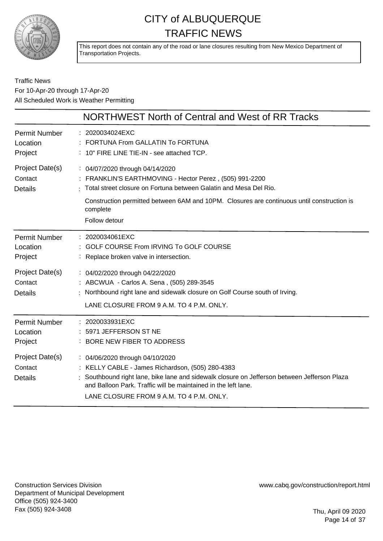

This report does not contain any of the road or lane closures resulting from New Mexico Department of Transportation Projects.

#### Traffic News For 10-Apr-20 through 17-Apr-20 All Scheduled Work is Weather Permitting

|                                              | NORTHWEST North of Central and West of RR Tracks                                                                                                                                                                                                                                                |
|----------------------------------------------|-------------------------------------------------------------------------------------------------------------------------------------------------------------------------------------------------------------------------------------------------------------------------------------------------|
| <b>Permit Number</b><br>Location<br>Project  | : 2020034024EXC<br>FORTUNA From GALLATIN To FORTUNA<br>: 10" FIRE LINE TIE-IN - see attached TCP.                                                                                                                                                                                               |
| Project Date(s)<br>Contact<br><b>Details</b> | : 04/07/2020 through 04/14/2020<br>FRANKLIN'S EARTHMOVING - Hector Perez, (505) 991-2200<br>: Total street closure on Fortuna between Galatin and Mesa Del Rio.<br>Construction permitted between 6AM and 10PM. Closures are continuous until construction is<br>complete<br>Follow detour      |
| <b>Permit Number</b><br>Location<br>Project  | 2020034061EXC<br>GOLF COURSE From IRVING To GOLF COURSE<br>Replace broken valve in intersection.                                                                                                                                                                                                |
| Project Date(s)<br>Contact<br><b>Details</b> | : 04/02/2020 through 04/22/2020<br>: ABCWUA - Carlos A. Sena, (505) 289-3545<br>Northbound right lane and sidewalk closure on Golf Course south of Irving.<br>LANE CLOSURE FROM 9 A.M. TO 4 P.M. ONLY.                                                                                          |
| <b>Permit Number</b><br>Location<br>Project  | 2020033931EXC<br>5971 JEFFERSON ST NE<br>BORE NEW FIBER TO ADDRESS                                                                                                                                                                                                                              |
| Project Date(s)<br>Contact<br><b>Details</b> | : 04/06/2020 through 04/10/2020<br>: KELLY CABLE - James Richardson, (505) 280-4383<br>Southbound right lane, bike lane and sidewalk closure on Jefferson between Jefferson Plaza<br>and Balloon Park. Traffic will be maintained in the left lane.<br>LANE CLOSURE FROM 9 A.M. TO 4 P.M. ONLY. |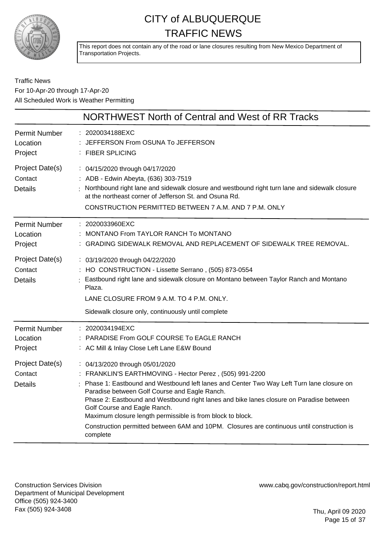

This report does not contain any of the road or lane closures resulting from New Mexico Department of Transportation Projects.

#### Traffic News For 10-Apr-20 through 17-Apr-20 All Scheduled Work is Weather Permitting

|                                              | NORTHWEST North of Central and West of RR Tracks                                                                                                                                                                                                                                                                                                                                                                                                                                                                                             |
|----------------------------------------------|----------------------------------------------------------------------------------------------------------------------------------------------------------------------------------------------------------------------------------------------------------------------------------------------------------------------------------------------------------------------------------------------------------------------------------------------------------------------------------------------------------------------------------------------|
| Permit Number<br>Location<br>Project         | : 2020034188EXC<br>JEFFERSON From OSUNA To JEFFERSON<br>: FIBER SPLICING                                                                                                                                                                                                                                                                                                                                                                                                                                                                     |
| Project Date(s)<br>Contact<br><b>Details</b> | : 04/15/2020 through 04/17/2020<br>: ADB - Edwin Abeyta, (636) 303-7519<br>Northbound right lane and sidewalk closure and westbound right turn lane and sidewalk closure<br>at the northeast corner of Jefferson St. and Osuna Rd.<br>CONSTRUCTION PERMITTED BETWEEN 7 A.M. AND 7 P.M. ONLY                                                                                                                                                                                                                                                  |
| <b>Permit Number</b><br>Location<br>Project  | : 2020033960EXC<br>MONTANO From TAYLOR RANCH To MONTANO<br>: GRADING SIDEWALK REMOVAL AND REPLACEMENT OF SIDEWALK TREE REMOVAL.                                                                                                                                                                                                                                                                                                                                                                                                              |
| Project Date(s)<br>Contact<br><b>Details</b> | : 03/19/2020 through 04/22/2020<br>: HO CONSTRUCTION - Lissette Serrano, (505) 873-0554<br>Eastbound right lane and sidewalk closure on Montano between Taylor Ranch and Montano<br>Plaza.<br>LANE CLOSURE FROM 9 A.M. TO 4 P.M. ONLY.                                                                                                                                                                                                                                                                                                       |
|                                              | Sidewalk closure only, continuously until complete                                                                                                                                                                                                                                                                                                                                                                                                                                                                                           |
| Permit Number<br>Location<br>Project         | : 2020034194EXC<br>PARADISE From GOLF COURSE To EAGLE RANCH<br>: AC Mill & Inlay Close Left Lane E&W Bound                                                                                                                                                                                                                                                                                                                                                                                                                                   |
| Project Date(s)<br>Contact<br><b>Details</b> | : 04/13/2020 through 05/01/2020<br>: FRANKLIN'S EARTHMOVING - Hector Perez, (505) 991-2200<br>: Phase 1: Eastbound and Westbound left lanes and Center Two Way Left Turn lane closure on<br>Paradise between Golf Course and Eagle Ranch.<br>Phase 2: Eastbound and Westbound right lanes and bike lanes closure on Paradise between<br>Golf Course and Eagle Ranch.<br>Maximum closure length permissible is from block to block.<br>Construction permitted between 6AM and 10PM. Closures are continuous until construction is<br>complete |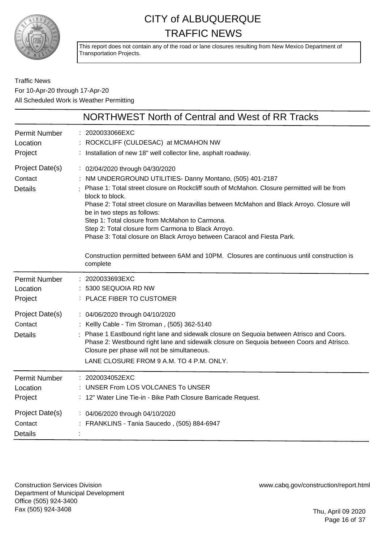

This report does not contain any of the road or lane closures resulting from New Mexico Department of Transportation Projects.

#### Traffic News For 10-Apr-20 through 17-Apr-20 All Scheduled Work is Weather Permitting

|                                              | NORTHWEST North of Central and West of RR Tracks                                                                                                                                                                                                                                                                                                                                                                                                                                                                              |
|----------------------------------------------|-------------------------------------------------------------------------------------------------------------------------------------------------------------------------------------------------------------------------------------------------------------------------------------------------------------------------------------------------------------------------------------------------------------------------------------------------------------------------------------------------------------------------------|
| <b>Permit Number</b><br>Location<br>Project  | : 2020033066EXC<br>ROCKCLIFF (CULDESAC) at MCMAHON NW<br>: Installation of new 18" well collector line, asphalt roadway.                                                                                                                                                                                                                                                                                                                                                                                                      |
| Project Date(s)<br>Contact<br><b>Details</b> | : 02/04/2020 through 04/30/2020<br>NM UNDERGROUND UTILITIES- Danny Montano, (505) 401-2187<br>Phase 1: Total street closure on Rockcliff south of McMahon. Closure permitted will be from<br>block to block.<br>Phase 2: Total street closure on Maravillas between McMahon and Black Arroyo. Closure will<br>be in two steps as follows:<br>Step 1: Total closure from McMahon to Carmona.<br>Step 2: Total closure form Carmona to Black Arroyo.<br>Phase 3: Total closure on Black Arroyo between Caracol and Fiesta Park. |
|                                              | Construction permitted between 6AM and 10PM. Closures are continuous until construction is<br>complete                                                                                                                                                                                                                                                                                                                                                                                                                        |
| <b>Permit Number</b><br>Location<br>Project  | 2020033693EXC<br>5300 SEQUOIA RD NW<br>PLACE FIBER TO CUSTOMER                                                                                                                                                                                                                                                                                                                                                                                                                                                                |
| Project Date(s)<br>Contact<br><b>Details</b> | : 04/06/2020 through 04/10/2020<br>: Kellly Cable - Tim Stroman, (505) 362-5140<br>Phase 1 Eastbound right lane and sidewalk closure on Sequoia between Atrisco and Coors.<br>Phase 2: Westbound right lane and sidewalk closure on Sequoia between Coors and Atrisco.<br>Closure per phase will not be simultaneous.<br>LANE CLOSURE FROM 9 A.M. TO 4 P.M. ONLY.                                                                                                                                                             |
| <b>Permit Number</b><br>Location<br>Project  | 2020034052EXC<br>UNSER From LOS VOLCANES To UNSER<br>: 12" Water Line Tie-in - Bike Path Closure Barricade Request.                                                                                                                                                                                                                                                                                                                                                                                                           |
| Project Date(s)<br>Contact<br><b>Details</b> | : 04/06/2020 through 04/10/2020<br>: FRANKLINS - Tania Saucedo, (505) 884-6947                                                                                                                                                                                                                                                                                                                                                                                                                                                |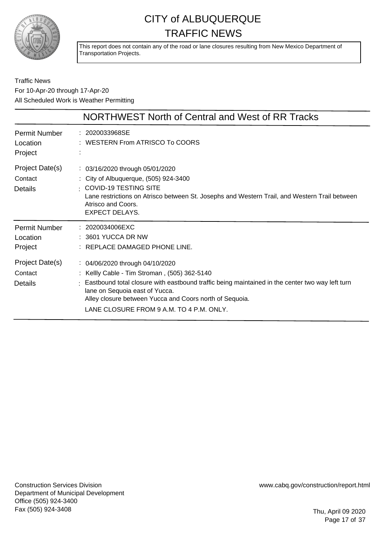

This report does not contain any of the road or lane closures resulting from New Mexico Department of Transportation Projects.

#### Traffic News For 10-Apr-20 through 17-Apr-20 All Scheduled Work is Weather Permitting

|                                             | NORTHWEST North of Central and West of RR Tracks                                                                                                                                                                                                                                                                            |
|---------------------------------------------|-----------------------------------------------------------------------------------------------------------------------------------------------------------------------------------------------------------------------------------------------------------------------------------------------------------------------------|
| <b>Permit Number</b><br>Location<br>Project | : 2020033968SE<br>$:$ WESTERN From ATRISCO To COORS                                                                                                                                                                                                                                                                         |
| Project Date(s)<br>Contact<br>Details       | $\therefore$ 03/16/2020 through 05/01/2020<br>: City of Albuquerque, (505) 924-3400<br>$\pm$ COVID-19 TESTING SITE<br>Lane restrictions on Atrisco between St. Josephs and Western Trail, and Western Trail between<br>Atrisco and Coors.<br><b>EXPECT DELAYS.</b>                                                          |
| <b>Permit Number</b><br>Location<br>Project | $: 2020034006$ EXC<br>$: 3601$ YUCCA DR NW<br>: REPLACE DAMAGED PHONE LINE.                                                                                                                                                                                                                                                 |
| Project Date(s)<br>Contact<br>Details       | : 04/06/2020 through 04/10/2020<br>: Kellly Cable - Tim Stroman, (505) 362-5140<br>Eastbound total closure with eastbound traffic being maintained in the center two way left turn<br>lane on Sequoia east of Yucca.<br>Alley closure between Yucca and Coors north of Sequoia.<br>LANE CLOSURE FROM 9 A.M. TO 4 P.M. ONLY. |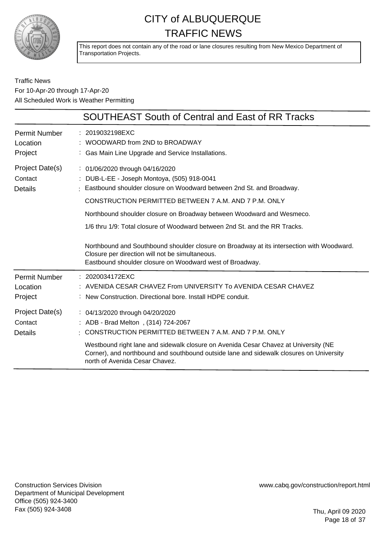

This report does not contain any of the road or lane closures resulting from New Mexico Department of Transportation Projects.

#### Traffic News For 10-Apr-20 through 17-Apr-20 All Scheduled Work is Weather Permitting

| SOUTHEAST South of Central and East of RR Tracks                                                                                                                                                                                                                                                                                                                                                                                                                                                                                                                                   |
|------------------------------------------------------------------------------------------------------------------------------------------------------------------------------------------------------------------------------------------------------------------------------------------------------------------------------------------------------------------------------------------------------------------------------------------------------------------------------------------------------------------------------------------------------------------------------------|
| : 2019032198EXC<br>$:$ WOODWARD from 2ND to BROADWAY<br>: Gas Main Line Upgrade and Service Installations.                                                                                                                                                                                                                                                                                                                                                                                                                                                                         |
| : 01/06/2020 through 04/16/2020<br>: DUB-L-EE - Joseph Montoya, (505) 918-0041<br>Eastbound shoulder closure on Woodward between 2nd St. and Broadway.<br>CONSTRUCTION PERMITTED BETWEEN 7 A.M. AND 7 P.M. ONLY<br>Northbound shoulder closure on Broadway between Woodward and Wesmeco.<br>1/6 thru 1/9: Total closure of Woodward between 2nd St. and the RR Tracks.<br>Northbound and Southbound shoulder closure on Broadway at its intersection with Woodward.<br>Closure per direction will not be simultaneous.<br>Eastbound shoulder closure on Woodward west of Broadway. |
| : 2020034172EXC<br>: AVENIDA CESAR CHAVEZ From UNIVERSITY To AVENIDA CESAR CHAVEZ<br>: New Construction. Directional bore. Install HDPE conduit.                                                                                                                                                                                                                                                                                                                                                                                                                                   |
| : 04/13/2020 through 04/20/2020<br>: ADB - Brad Melton, (314) 724-2067<br>$\pm$ CONSTRUCTION PERMITTED BETWEEN 7 A.M. AND 7 P.M. ONLY<br>Westbound right lane and sidewalk closure on Avenida Cesar Chavez at University (NE<br>Corner), and northbound and southbound outside lane and sidewalk closures on University<br>north of Avenida Cesar Chavez.                                                                                                                                                                                                                          |
|                                                                                                                                                                                                                                                                                                                                                                                                                                                                                                                                                                                    |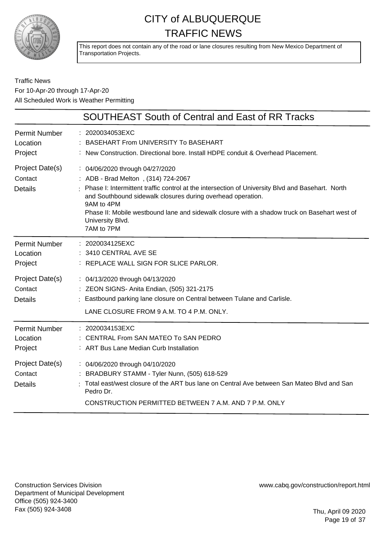

This report does not contain any of the road or lane closures resulting from New Mexico Department of Transportation Projects.

#### Traffic News For 10-Apr-20 through 17-Apr-20 All Scheduled Work is Weather Permitting

|                                                                | <b>SOUTHEAST South of Central and East of RR Tracks</b>                                                                                                                                                                                                                                                                                                                                   |
|----------------------------------------------------------------|-------------------------------------------------------------------------------------------------------------------------------------------------------------------------------------------------------------------------------------------------------------------------------------------------------------------------------------------------------------------------------------------|
| <b>Permit Number</b><br>Location<br>Project                    | : 2020034053EXC<br>BASEHART From UNIVERSITY To BASEHART<br>: New Construction. Directional bore. Install HDPE conduit & Overhead Placement.                                                                                                                                                                                                                                               |
| Project Date(s)<br>Contact<br><b>Details</b>                   | : 04/06/2020 through 04/27/2020<br>: ADB - Brad Melton, (314) 724-2067<br>Phase I: Intermittent traffic control at the intersection of University Blvd and Basehart. North<br>and Southbound sidewalk closures during overhead operation.<br>9AM to 4PM<br>Phase II: Mobile westbound lane and sidewalk closure with a shadow truck on Basehart west of<br>University Blvd.<br>7AM to 7PM |
| <b>Permit Number</b><br>Location<br>Project                    | : 2020034125EXC<br>: 3410 CENTRAL AVE SE<br>: REPLACE WALL SIGN FOR SLICE PARLOR.                                                                                                                                                                                                                                                                                                         |
| Project Date(s)<br>Contact<br><b>Details</b>                   | : 04/13/2020 through 04/13/2020<br>: ZEON SIGNS- Anita Endian, (505) 321-2175<br>Eastbound parking lane closure on Central between Tulane and Carlisle.<br>LANE CLOSURE FROM 9 A.M. TO 4 P.M. ONLY.                                                                                                                                                                                       |
| <b>Permit Number</b><br>Location<br>Project<br>Project Date(s) | : 2020034153EXC<br>: CENTRAL From SAN MATEO To SAN PEDRO<br>: ART Bus Lane Median Curb Installation<br>: 04/06/2020 through 04/10/2020                                                                                                                                                                                                                                                    |
| Contact<br>Details                                             | : BRADBURY STAMM - Tyler Nunn, (505) 618-529<br>: Total east/west closure of the ART bus lane on Central Ave between San Mateo Blvd and San<br>Pedro Dr.<br>CONSTRUCTION PERMITTED BETWEEN 7 A.M. AND 7 P.M. ONLY                                                                                                                                                                         |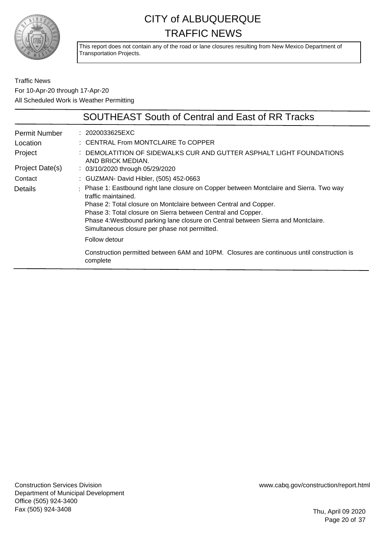

This report does not contain any of the road or lane closures resulting from New Mexico Department of Transportation Projects.

Traffic News For 10-Apr-20 through 17-Apr-20 All Scheduled Work is Weather Permitting

|                      | <b>SOUTHEAST South of Central and East of RR Tracks</b>                                                                                                                                                                                                                                                                                                                                   |
|----------------------|-------------------------------------------------------------------------------------------------------------------------------------------------------------------------------------------------------------------------------------------------------------------------------------------------------------------------------------------------------------------------------------------|
| <b>Permit Number</b> | : 2020033625EXC                                                                                                                                                                                                                                                                                                                                                                           |
| Location             | : CENTRAL From MONTCLAIRE To COPPER                                                                                                                                                                                                                                                                                                                                                       |
| Project              | DEMOLATITION OF SIDEWALKS CUR AND GUTTER ASPHALT LIGHT FOUNDATIONS<br>AND BRICK MEDIAN.                                                                                                                                                                                                                                                                                                   |
| Project Date(s)      | $\therefore$ 03/10/2020 through 05/29/2020                                                                                                                                                                                                                                                                                                                                                |
| Contact              | : GUZMAN- David Hibler, (505) 452-0663                                                                                                                                                                                                                                                                                                                                                    |
| Details              | : Phase 1: Eastbound right lane closure on Copper between Montclaire and Sierra. Two way<br>traffic maintained.<br>Phase 2: Total closure on Montclaire between Central and Copper.<br>Phase 3: Total closure on Sierra between Central and Copper.<br>Phase 4: Westbound parking lane closure on Central between Sierra and Montclaire.<br>Simultaneous closure per phase not permitted. |
|                      | Follow detour                                                                                                                                                                                                                                                                                                                                                                             |
|                      | Construction permitted between 6AM and 10PM. Closures are continuous until construction is<br>complete                                                                                                                                                                                                                                                                                    |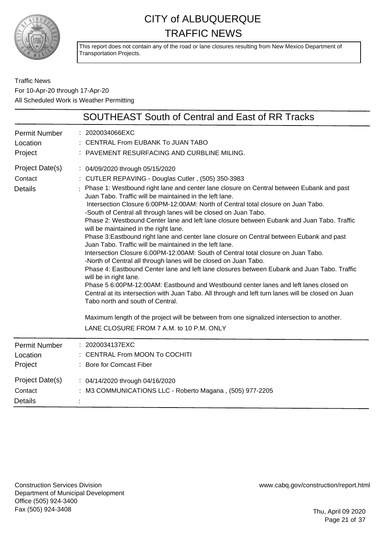

This report does not contain any of the road or lane closures resulting from New Mexico Department of Transportation Projects.

Traffic News For 10-Apr-20 through 17-Apr-20 All Scheduled Work is Weather Permitting

|                                              | <b>SOUTHEAST South of Central and East of RR Tracks</b>                                                                                                                                                                                                                                                                                                                                                                                                                                                                                                                                                                                                                                                                                                                                                                                                                                                                                                                                                                                                                                                                                                                                                                                                                                                                                                              |
|----------------------------------------------|----------------------------------------------------------------------------------------------------------------------------------------------------------------------------------------------------------------------------------------------------------------------------------------------------------------------------------------------------------------------------------------------------------------------------------------------------------------------------------------------------------------------------------------------------------------------------------------------------------------------------------------------------------------------------------------------------------------------------------------------------------------------------------------------------------------------------------------------------------------------------------------------------------------------------------------------------------------------------------------------------------------------------------------------------------------------------------------------------------------------------------------------------------------------------------------------------------------------------------------------------------------------------------------------------------------------------------------------------------------------|
| Permit Number<br>Location<br>Project         | : 2020034066EXC<br>: CENTRAL From EUBANK To JUAN TABO<br>: PAVEMENT RESURFACING AND CURBLINE MILING.                                                                                                                                                                                                                                                                                                                                                                                                                                                                                                                                                                                                                                                                                                                                                                                                                                                                                                                                                                                                                                                                                                                                                                                                                                                                 |
| Project Date(s)<br>Contact<br><b>Details</b> | : 04/09/2020 through 05/15/2020<br>: CUTLER REPAVING - Douglas Cutler, (505) 350-3983<br>: Phase 1: Westbound right lane and center lane closure on Central between Eubank and past<br>Juan Tabo. Traffic will be maintained in the left lane.<br>Intersection Closure 6:00PM-12:00AM: North of Central total closure on Juan Tabo.<br>-South of Central all through lanes will be closed on Juan Tabo.<br>Phase 2: Westbound Center lane and left lane closure between Eubank and Juan Tabo. Traffic<br>will be maintained in the right lane.<br>Phase 3: Eastbound right lane and center lane closure on Central between Eubank and past<br>Juan Tabo. Traffic will be maintained in the left lane.<br>Intersection Closure 6:00PM-12:00AM: South of Central total closure on Juan Tabo.<br>-North of Central all through lanes will be closed on Juan Tabo.<br>Phase 4: Eastbound Center lane and left lane closures between Eubank and Juan Tabo. Traffic<br>will be in right lane.<br>Phase 5 6:00PM-12:00AM: Eastbound and Westbound center lanes and left lanes closed on<br>Central at its intersection with Juan Tabo. All through and left turn lanes will be closed on Juan<br>Tabo north and south of Central.<br>Maximum length of the project will be between from one signalized intersection to another.<br>LANE CLOSURE FROM 7 A.M. to 10 P.M. ONLY |
| <b>Permit Number</b><br>Location<br>Project  | : 2020034137EXC<br>: CENTRAL From MOON To COCHITI<br>: Bore for Comcast Fiber                                                                                                                                                                                                                                                                                                                                                                                                                                                                                                                                                                                                                                                                                                                                                                                                                                                                                                                                                                                                                                                                                                                                                                                                                                                                                        |
| Project Date(s)<br>Contact<br><b>Details</b> | : 04/14/2020 through 04/16/2020<br>: M3 COMMUNICATIONS LLC - Roberto Magana, (505) 977-2205                                                                                                                                                                                                                                                                                                                                                                                                                                                                                                                                                                                                                                                                                                                                                                                                                                                                                                                                                                                                                                                                                                                                                                                                                                                                          |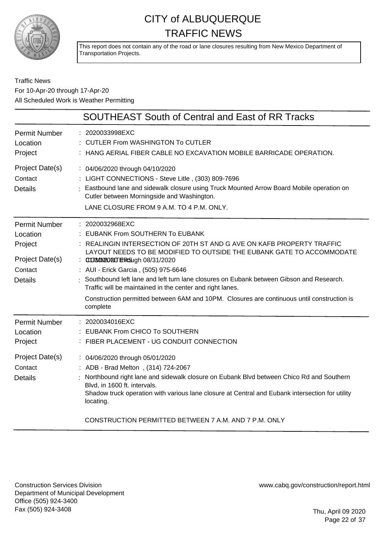

This report does not contain any of the road or lane closures resulting from New Mexico Department of Transportation Projects.

#### Traffic News For 10-Apr-20 through 17-Apr-20 All Scheduled Work is Weather Permitting

|                                                                                             | <b>SOUTHEAST South of Central and East of RR Tracks</b>                                                                                                                                                                                                                                                                                                                                                                                                                                                                                                   |
|---------------------------------------------------------------------------------------------|-----------------------------------------------------------------------------------------------------------------------------------------------------------------------------------------------------------------------------------------------------------------------------------------------------------------------------------------------------------------------------------------------------------------------------------------------------------------------------------------------------------------------------------------------------------|
| <b>Permit Number</b><br>Location<br>Project                                                 | 2020033998EXC<br>: CUTLER From WASHINGTON To CUTLER<br>: HANG AERIAL FIBER CABLE NO EXCAVATION MOBILE BARRICADE OPERATION.                                                                                                                                                                                                                                                                                                                                                                                                                                |
| Project Date(s)<br>Contact<br><b>Details</b>                                                | : 04/06/2020 through 04/10/2020<br>: LIGHT CONNECTIONS - Steve Litle, (303) 809-7696<br>: Eastbound lane and sidewalk closure using Truck Mounted Arrow Board Mobile operation on<br>Cutler between Morningside and Washington.<br>LANE CLOSURE FROM 9 A.M. TO 4 P.M. ONLY.                                                                                                                                                                                                                                                                               |
| <b>Permit Number</b><br>Location<br>Project<br>Project Date(s)<br>Contact<br><b>Details</b> | : 2020032968EXC<br><b>EUBANK From SOUTHERN To EUBANK</b><br>: REALINGIN INTERSECTION OF 20TH ST AND G AVE ON KAFB PROPERTY TRAFFIC<br>LAYOUT NEEDS TO BE MODIFIED TO OUTSIDE THE EUBANK GATE TO ACCOMMODATE<br>: 0008000200 EFRG9ugh 08/31/2020<br>: AUI - Erick Garcia, (505) 975-6646<br>Southbound left lane and left turn lane closures on Eubank between Gibson and Research.<br>Traffic will be maintained in the center and right lanes.<br>Construction permitted between 6AM and 10PM. Closures are continuous until construction is<br>complete |
| <b>Permit Number</b><br>Location<br>Project                                                 | 2020034016EXC<br><b>EUBANK From CHICO To SOUTHERN</b><br>: FIBER PLACEMENT - UG CONDUIT CONNECTION                                                                                                                                                                                                                                                                                                                                                                                                                                                        |
| Project Date(s)<br>Contact<br><b>Details</b>                                                | : 04/06/2020 through 05/01/2020<br>: ADB - Brad Melton, (314) 724-2067<br>Northbound right lane and sidewalk closure on Eubank Blvd between Chico Rd and Southern<br>Blvd, in 1600 ft. intervals.<br>Shadow truck operation with various lane closure at Central and Eubank intersection for utility<br>locating.                                                                                                                                                                                                                                         |

CONSTRUCTION PERMITTED BETWEEN 7 A.M. AND 7 P.M. ONLY

Construction Services Division Department of Municipal Development Office (505) 924-3400 Fax (505) 924-3408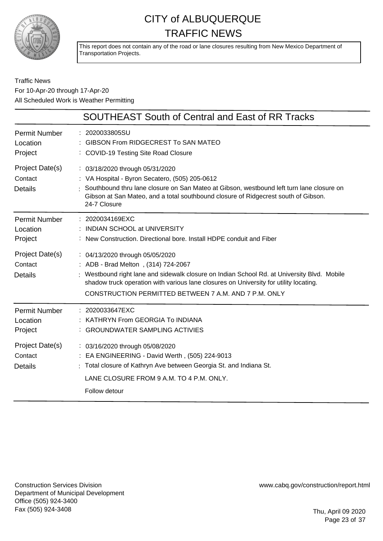

This report does not contain any of the road or lane closures resulting from New Mexico Department of Transportation Projects.

#### Traffic News For 10-Apr-20 through 17-Apr-20 All Scheduled Work is Weather Permitting

|                                              | <b>SOUTHEAST South of Central and East of RR Tracks</b>                                                                                                                                                                                                                                                                 |
|----------------------------------------------|-------------------------------------------------------------------------------------------------------------------------------------------------------------------------------------------------------------------------------------------------------------------------------------------------------------------------|
| <b>Permit Number</b><br>Location<br>Project  | : 2020033805SU<br>GIBSON From RIDGECREST To SAN MATEO<br>: COVID-19 Testing Site Road Closure                                                                                                                                                                                                                           |
| Project Date(s)<br>Contact<br><b>Details</b> | : 03/18/2020 through 05/31/2020<br>: VA Hospital - Byron Secatero, (505) 205-0612<br>Southbound thru lane closure on San Mateo at Gibson, westbound left turn lane closure on<br>Gibson at San Mateo, and a total southbound closure of Ridgecrest south of Gibson.<br>24-7 Closure                                     |
| <b>Permit Number</b><br>Location<br>Project  | $: 2020034169$ EXC<br>: INDIAN SCHOOL at UNIVERSITY<br>: New Construction, Directional bore, Install HDPE conduit and Fiber                                                                                                                                                                                             |
| Project Date(s)<br>Contact<br><b>Details</b> | : 04/13/2020 through 05/05/2020<br>: ADB - Brad Melton, (314) 724-2067<br>: Westbound right lane and sidewalk closure on Indian School Rd. at University Blvd. Mobile<br>shadow truck operation with various lane closures on University for utility locating.<br>CONSTRUCTION PERMITTED BETWEEN 7 A.M. AND 7 P.M. ONLY |
| <b>Permit Number</b><br>Location<br>Project  | : 2020033647EXC<br>: KATHRYN From GEORGIA To INDIANA<br>: GROUNDWATER SAMPLING ACTIVIES                                                                                                                                                                                                                                 |
| Project Date(s)<br>Contact<br><b>Details</b> | : 03/16/2020 through 05/08/2020<br>: EA ENGINEERING - David Werth, (505) 224-9013<br>: Total closure of Kathryn Ave between Georgia St. and Indiana St.<br>LANE CLOSURE FROM 9 A.M. TO 4 P.M. ONLY.<br>Follow detour                                                                                                    |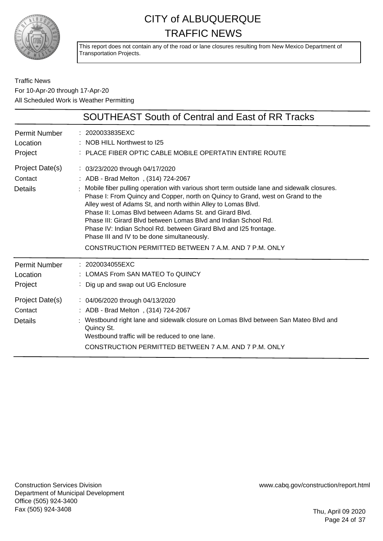

This report does not contain any of the road or lane closures resulting from New Mexico Department of Transportation Projects.

Traffic News For 10-Apr-20 through 17-Apr-20 All Scheduled Work is Weather Permitting

|                                                                                      | <b>SOUTHEAST South of Central and East of RR Tracks</b>                                                                                                                                                                                                                                                                                                                                                                                                                                                                                                                                                                                          |
|--------------------------------------------------------------------------------------|--------------------------------------------------------------------------------------------------------------------------------------------------------------------------------------------------------------------------------------------------------------------------------------------------------------------------------------------------------------------------------------------------------------------------------------------------------------------------------------------------------------------------------------------------------------------------------------------------------------------------------------------------|
| Permit Number<br>Location<br>Project                                                 | : 2020033835EXC<br>: NOB HILL Northwest to I25<br>PLACE FIBER OPTIC CABLE MOBILE OPERTATIN ENTIRE ROUTE                                                                                                                                                                                                                                                                                                                                                                                                                                                                                                                                          |
| Project Date(s)<br>Contact<br><b>Details</b>                                         | $\therefore$ 03/23/2020 through 04/17/2020<br>: ADB - Brad Melton, (314) 724-2067<br>: Mobile fiber pulling operation with various short term outside lane and sidewalk closures.<br>Phase I: From Quincy and Copper, north on Quincy to Grand, west on Grand to the<br>Alley west of Adams St, and north within Alley to Lomas Blvd.<br>Phase II: Lomas Blyd between Adams St. and Girard Blyd.<br>Phase III: Girard Blyd between Lomas Blyd and Indian School Rd.<br>Phase IV: Indian School Rd. between Girard Blvd and I25 frontage.<br>Phase III and IV to be done simultaneously.<br>CONSTRUCTION PERMITTED BETWEEN 7 A.M. AND 7 P.M. ONLY |
| <b>Permit Number</b><br>Location<br>Project<br>Project Date(s)<br>Contact<br>Details | : 2020034055EXC<br>: LOMAS From SAN MATEO To QUINCY<br>Dig up and swap out UG Enclosure<br>: 04/06/2020 through 04/13/2020<br>: ADB - Brad Melton, (314) 724-2067<br>: Westbound right lane and sidewalk closure on Lomas Blvd between San Mateo Blvd and<br>Quincy St.<br>Westbound traffic will be reduced to one lane.<br>CONSTRUCTION PERMITTED BETWEEN 7 A.M. AND 7 P.M. ONLY                                                                                                                                                                                                                                                               |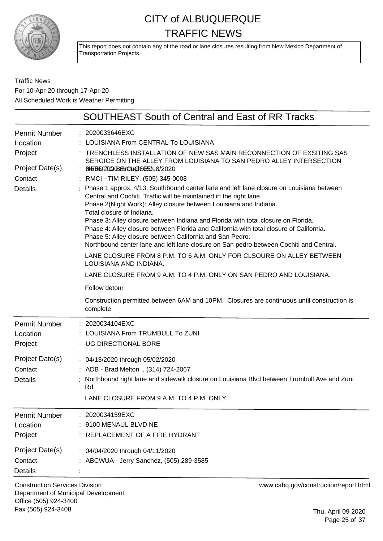

This report does not contain any of the road or lane closures resulting from New Mexico Department of Transportation Projects.

Traffic News For 10-Apr-20 through 17-Apr-20 All Scheduled Work is Weather Permitting

| <b>SOUTHEAST South of Central and East of RR Tracks</b>                                                                                                                                                                                                                                                                                                                                                                                                                                                                                                                                                                                                                                                                                                                                                                                                                                                                                                                                                                                                                                 |
|-----------------------------------------------------------------------------------------------------------------------------------------------------------------------------------------------------------------------------------------------------------------------------------------------------------------------------------------------------------------------------------------------------------------------------------------------------------------------------------------------------------------------------------------------------------------------------------------------------------------------------------------------------------------------------------------------------------------------------------------------------------------------------------------------------------------------------------------------------------------------------------------------------------------------------------------------------------------------------------------------------------------------------------------------------------------------------------------|
| : 2020033646EXC<br>LOUISIANA From CENTRAL To LOUISIANA<br>TRENCHLESS INSTALLATION OF NEW SAS MAIN RECONNECTION OF EXSITING SAS<br>SERGICE ON THE ALLEY FROM LOUISIANA TO SAN PEDRO ALLEY INTERSECTION<br>: 0497660270020165060606050018/2020<br>: RMCI - TIM RILEY, (505) 345-0008<br>: Phase 1 approx. 4/13: Southbound center lane and left lane closure on Louisiana between<br>Central and Cochiti. Traffic will be maintained in the right lane.<br>Phase 2(Night Work): Alley closure between Louisiana and Indiana.<br>Total closure of Indiana.<br>Phase 3: Alley closure between Indiana and Florida with total closure on Florida.<br>Phase 4: Alley closure between Florida and California with total closure of California.<br>Phase 5: Alley closure between California and San Pedro.<br>Northbound center lane and left lane closure on San pedro between Cochiti and Central.<br>LANE CLOSURE FROM 8 P.M. TO 6 A.M. ONLY FOR CLSOURE ON ALLEY BETWEEN<br>LOUISIANA AND INDIANA.<br>LANE CLOSURE FROM 9 A.M. TO 4 P.M. ONLY ON SAN PEDRO AND LOUISIANA.<br>Follow detour |
| Construction permitted between 6AM and 10PM. Closures are continuous until construction is<br>complete                                                                                                                                                                                                                                                                                                                                                                                                                                                                                                                                                                                                                                                                                                                                                                                                                                                                                                                                                                                  |
| : 2020034104EXC<br>LOUISIANA From TRUMBULL To ZUNI<br>: UG DIRECTIONAL BORE<br>: 04/13/2020 through 05/02/2020<br>: ADB - Brad Melton, (314) 724-2067<br>Northbound right lane and sidewalk closure on Louisiana Blvd between Trumbull Ave and Zuni<br>Rd.<br>LANE CLOSURE FROM 9 A.M. TO 4 P.M. ONLY.                                                                                                                                                                                                                                                                                                                                                                                                                                                                                                                                                                                                                                                                                                                                                                                  |
| 2020034159EXC<br>9100 MENAUL BLVD NE<br>: REPLACEMENT OF A FIRE HYDRANT<br>: 04/04/2020 through 04/11/2020<br>: ABCWUA - Jerry Sanchez, (505) 289-3585                                                                                                                                                                                                                                                                                                                                                                                                                                                                                                                                                                                                                                                                                                                                                                                                                                                                                                                                  |
|                                                                                                                                                                                                                                                                                                                                                                                                                                                                                                                                                                                                                                                                                                                                                                                                                                                                                                                                                                                                                                                                                         |

Construction Services Division Department of Municipal Development Office (505) 924-3400 Fax (505) 924-3408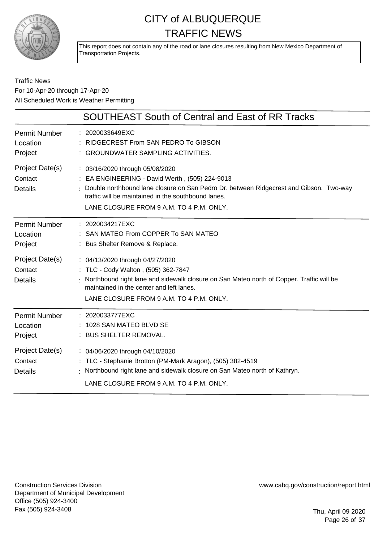

This report does not contain any of the road or lane closures resulting from New Mexico Department of Transportation Projects.

#### Traffic News For 10-Apr-20 through 17-Apr-20 All Scheduled Work is Weather Permitting

|                                              | <b>SOUTHEAST South of Central and East of RR Tracks</b>                                                                                                                                                                                                                        |
|----------------------------------------------|--------------------------------------------------------------------------------------------------------------------------------------------------------------------------------------------------------------------------------------------------------------------------------|
| <b>Permit Number</b><br>Location<br>Project  | : 2020033649EXC<br>RIDGECREST From SAN PEDRO To GIBSON<br>: GROUNDWATER SAMPLING ACTIVITIES.                                                                                                                                                                                   |
| Project Date(s)<br>Contact<br><b>Details</b> | : 03/16/2020 through 05/08/2020<br>: EA ENGINEERING - David Werth, (505) 224-9013<br>Double northbound lane closure on San Pedro Dr. between Ridgecrest and Gibson. Two-way<br>traffic will be maintained in the southbound lanes.<br>LANE CLOSURE FROM 9 A.M. TO 4 P.M. ONLY. |
| <b>Permit Number</b><br>Location<br>Project  | : 2020034217EXC<br>SAN MATEO From COPPER To SAN MATEO<br>: Bus Shelter Remove & Replace.                                                                                                                                                                                       |
| Project Date(s)<br>Contact<br><b>Details</b> | : 04/13/2020 through 04/27/2020<br>: TLC - Cody Walton, (505) 362-7847<br>Northbound right lane and sidewalk closure on San Mateo north of Copper. Traffic will be<br>maintained in the center and left lanes.<br>LANE CLOSURE FROM 9 A.M. TO 4 P.M. ONLY.                     |
| <b>Permit Number</b><br>Location<br>Project  | : 2020033777EXC<br>1028 SAN MATEO BLVD SE<br>: BUS SHELTER REMOVAL.                                                                                                                                                                                                            |
| Project Date(s)<br>Contact<br><b>Details</b> | : 04/06/2020 through 04/10/2020<br>: TLC - Stephanie Brotton (PM-Mark Aragon), (505) 382-4519<br>: Northbound right lane and sidewalk closure on San Mateo north of Kathryn.<br>LANE CLOSURE FROM 9 A.M. TO 4 P.M. ONLY.                                                       |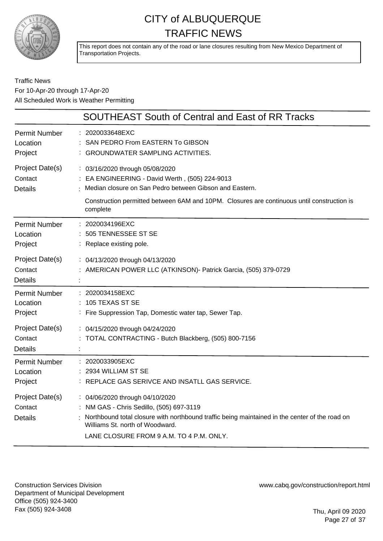

This report does not contain any of the road or lane closures resulting from New Mexico Department of Transportation Projects.

#### Traffic News For 10-Apr-20 through 17-Apr-20 All Scheduled Work is Weather Permitting

|                                              | SOUTHEAST South of Central and East of RR Tracks                                                                                                                                                                                                             |
|----------------------------------------------|--------------------------------------------------------------------------------------------------------------------------------------------------------------------------------------------------------------------------------------------------------------|
| <b>Permit Number</b><br>Location<br>Project  | 2020033648EXC<br>SAN PEDRO From EASTERN To GIBSON<br>: GROUNDWATER SAMPLING ACTIVITIES.                                                                                                                                                                      |
| Project Date(s)<br>Contact<br><b>Details</b> | : 03/16/2020 through 05/08/2020<br>: EA ENGINEERING - David Werth, (505) 224-9013<br>Median closure on San Pedro between Gibson and Eastern.<br>Construction permitted between 6AM and 10PM. Closures are continuous until construction is<br>complete       |
| <b>Permit Number</b><br>Location<br>Project  | 2020034196EXC<br>505 TENNESSEE ST SE<br>: Replace existing pole.                                                                                                                                                                                             |
| Project Date(s)<br>Contact<br><b>Details</b> | : 04/13/2020 through 04/13/2020<br>: AMERICAN POWER LLC (ATKINSON) - Patrick Garcia, (505) 379-0729                                                                                                                                                          |
| <b>Permit Number</b><br>Location<br>Project  | : 2020034158EXC<br>105 TEXAS ST SE<br>: Fire Suppression Tap, Domestic water tap, Sewer Tap.                                                                                                                                                                 |
| Project Date(s)<br>Contact<br><b>Details</b> | : 04/15/2020 through 04/24/2020<br>TOTAL CONTRACTING - Butch Blackberg, (505) 800-7156                                                                                                                                                                       |
| <b>Permit Number</b><br>Location<br>Project  | 2020033905EXC<br>$: 2934$ WILLIAM ST SE<br>REPLACE GAS SERIVCE AND INSATLL GAS SERVICE.                                                                                                                                                                      |
| Project Date(s)<br>Contact<br><b>Details</b> | : 04/06/2020 through 04/10/2020<br>: NM GAS - Chris Sedillo, (505) 697-3119<br>Northbound total closure with northbound traffic being maintained in the center of the road on<br>Williams St. north of Woodward.<br>LANE CLOSURE FROM 9 A.M. TO 4 P.M. ONLY. |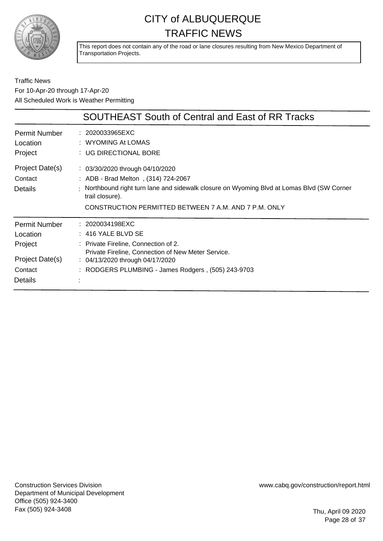

This report does not contain any of the road or lane closures resulting from New Mexico Department of Transportation Projects.

Traffic News For 10-Apr-20 through 17-Apr-20 All Scheduled Work is Weather Permitting

|                                       | <b>SOUTHEAST South of Central and East of RR Tracks</b>                                                                                                                                                                                                   |
|---------------------------------------|-----------------------------------------------------------------------------------------------------------------------------------------------------------------------------------------------------------------------------------------------------------|
| Permit Number                         | : 2020033965EXC                                                                                                                                                                                                                                           |
| Location                              | : WYOMING At LOMAS                                                                                                                                                                                                                                        |
| Project                               | : UG DIRECTIONAL BORE                                                                                                                                                                                                                                     |
| Project Date(s)<br>Contact<br>Details | $\therefore$ 03/30/2020 through 04/10/2020<br>: ADB - Brad Melton, (314) 724-2067<br>Northbound right turn lane and sidewalk closure on Wyoming Blvd at Lomas Blvd (SW Corner<br>trail closure).<br>CONSTRUCTION PERMITTED BETWEEN 7 A.M. AND 7 P.M. ONLY |
| <b>Permit Number</b>                  | : 2020034198EXC                                                                                                                                                                                                                                           |
| Location                              | $: 416$ YALE BLVD SE                                                                                                                                                                                                                                      |
| Project                               | : Private Fireline, Connection of 2.                                                                                                                                                                                                                      |
| Project Date(s)                       | Private Fireline, Connection of New Meter Service.                                                                                                                                                                                                        |
| Contact                               | $\therefore$ 04/13/2020 through 04/17/2020                                                                                                                                                                                                                |
| Details                               | : RODGERS PLUMBING - James Rodgers, (505) 243-9703                                                                                                                                                                                                        |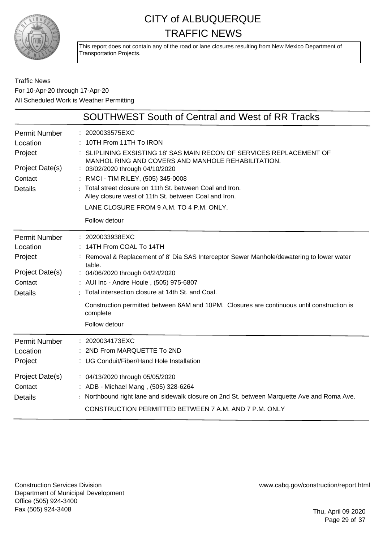

This report does not contain any of the road or lane closures resulting from New Mexico Department of Transportation Projects.

#### Traffic News For 10-Apr-20 through 17-Apr-20 All Scheduled Work is Weather Permitting

|                                                                                             | SOUTHWEST South of Central and West of RR Tracks                                                                                                                                                                                                                                                                                                                                                            |
|---------------------------------------------------------------------------------------------|-------------------------------------------------------------------------------------------------------------------------------------------------------------------------------------------------------------------------------------------------------------------------------------------------------------------------------------------------------------------------------------------------------------|
| <b>Permit Number</b><br>Location<br>Project<br>Project Date(s)<br>Contact<br><b>Details</b> | : 2020033575EXC<br>10TH From 11TH To IRON<br>SLIPLINING EXSISTING 18' SAS MAIN RECON OF SERVICES REPLACEMENT OF<br>MANHOL RING AND COVERS AND MANHOLE REHABILITATION.<br>: 03/02/2020 through 04/10/2020<br>RMCI - TIM RILEY, (505) 345-0008<br>Total street closure on 11th St. between Coal and Iron.<br>Alley closure west of 11th St. between Coal and Iron.                                            |
|                                                                                             | LANE CLOSURE FROM 9 A.M. TO 4 P.M. ONLY.<br>Follow detour                                                                                                                                                                                                                                                                                                                                                   |
| <b>Permit Number</b><br>Location<br>Project<br>Project Date(s)<br>Contact<br><b>Details</b> | : 2020033938EXC<br>14TH From COAL To 14TH<br>Removal & Replacement of 8' Dia SAS Interceptor Sewer Manhole/dewatering to lower water<br>table.<br>: 04/06/2020 through 04/24/2020<br>: AUI Inc - Andre Houle, (505) 975-6807<br>Total intersection closure at 14th St. and Coal.<br>Construction permitted between 6AM and 10PM. Closures are continuous until construction is<br>complete<br>Follow detour |
| <b>Permit Number</b><br>Location<br>Project                                                 | 2020034173EXC<br>2ND From MARQUETTE To 2ND<br>UG Conduit/Fiber/Hand Hole Installation                                                                                                                                                                                                                                                                                                                       |
| Project Date(s)<br>Contact<br><b>Details</b>                                                | : 04/13/2020 through 05/05/2020<br>: ADB - Michael Mang, (505) 328-6264<br>Northbound right lane and sidewalk closure on 2nd St. between Marquette Ave and Roma Ave.<br>CONSTRUCTION PERMITTED BETWEEN 7 A.M. AND 7 P.M. ONLY                                                                                                                                                                               |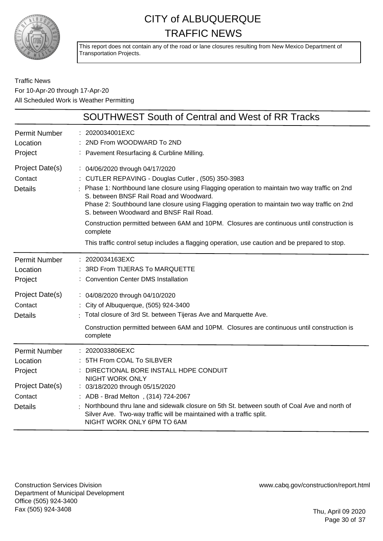

This report does not contain any of the road or lane closures resulting from New Mexico Department of Transportation Projects.

Traffic News For 10-Apr-20 through 17-Apr-20 All Scheduled Work is Weather Permitting

|                                                                                             | <b>SOUTHWEST South of Central and West of RR Tracks</b>                                                                                                                                                                                                                                                                                                                                                                                                                                                                                                                                 |
|---------------------------------------------------------------------------------------------|-----------------------------------------------------------------------------------------------------------------------------------------------------------------------------------------------------------------------------------------------------------------------------------------------------------------------------------------------------------------------------------------------------------------------------------------------------------------------------------------------------------------------------------------------------------------------------------------|
| <b>Permit Number</b><br>Location<br>Project                                                 | 2020034001EXC<br>2ND From WOODWARD To 2ND<br>: Pavement Resurfacing & Curbline Milling.                                                                                                                                                                                                                                                                                                                                                                                                                                                                                                 |
| Project Date(s)<br>Contact<br><b>Details</b>                                                | : 04/06/2020 through 04/17/2020<br>: CUTLER REPAVING - Douglas Cutler, (505) 350-3983<br>Phase 1: Northbound lane closure using Flagging operation to maintain two way traffic on 2nd<br>S. between BNSF Rail Road and Woodward.<br>Phase 2: Southbound lane closure using Flagging operation to maintain two way traffic on 2nd<br>S. between Woodward and BNSF Rail Road.<br>Construction permitted between 6AM and 10PM. Closures are continuous until construction is<br>complete<br>This traffic control setup includes a flagging operation, use caution and be prepared to stop. |
| <b>Permit Number</b><br>Location<br>Project                                                 | : 2020034163EXC<br>3RD From TIJERAS To MARQUETTE<br><b>Convention Center DMS Installation</b>                                                                                                                                                                                                                                                                                                                                                                                                                                                                                           |
| Project Date(s)<br>Contact<br><b>Details</b>                                                | : 04/08/2020 through 04/10/2020<br>: City of Albuquerque, (505) 924-3400<br>Total closure of 3rd St. between Tijeras Ave and Marquette Ave.<br>Construction permitted between 6AM and 10PM. Closures are continuous until construction is<br>complete                                                                                                                                                                                                                                                                                                                                   |
| <b>Permit Number</b><br>Location<br>Project<br>Project Date(s)<br>Contact<br><b>Details</b> | 2020033806EXC<br>5TH From COAL To SILBVER<br>DIRECTIONAL BORE INSTALL HDPE CONDUIT<br><b>NIGHT WORK ONLY</b><br>: 03/18/2020 through 05/15/2020<br>: ADB - Brad Melton, (314) 724-2067<br>Northbound thru lane and sidewalk closure on 5th St. between south of Coal Ave and north of<br>Silver Ave. Two-way traffic will be maintained with a traffic split.<br>NIGHT WORK ONLY 6PM TO 6AM                                                                                                                                                                                             |

Construction Services Division Department of Municipal Development Office (505) 924-3400 Fax (505) 924-3408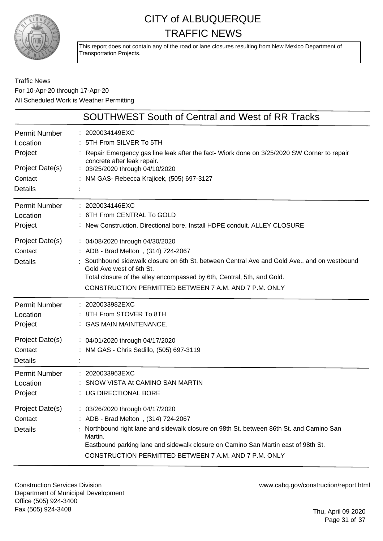

This report does not contain any of the road or lane closures resulting from New Mexico Department of Transportation Projects.

#### Traffic News For 10-Apr-20 through 17-Apr-20 All Scheduled Work is Weather Permitting

|                                              | <b>SOUTHWEST South of Central and West of RR Tracks</b>                                                                                                                                                                                                                                                                             |
|----------------------------------------------|-------------------------------------------------------------------------------------------------------------------------------------------------------------------------------------------------------------------------------------------------------------------------------------------------------------------------------------|
| Permit Number<br>Location<br>Project         | : 2020034149EXC<br>5TH From SILVER To 5TH<br>Repair Emergency gas line leak after the fact- Wiork done on 3/25/2020 SW Corner to repair<br>concrete after leak repair.                                                                                                                                                              |
| Project Date(s)<br>Contact<br><b>Details</b> | : 03/25/2020 through 04/10/2020<br>: NM GAS- Rebecca Krajicek, (505) 697-3127                                                                                                                                                                                                                                                       |
| <b>Permit Number</b><br>Location<br>Project  | : 2020034146EXC<br>: 6TH From CENTRAL To GOLD<br>: New Construction. Directional bore. Install HDPE conduit. ALLEY CLOSURE                                                                                                                                                                                                          |
| Project Date(s)<br>Contact<br><b>Details</b> | : 04/08/2020 through 04/30/2020<br>: ADB - Brad Melton, (314) 724-2067<br>Southbound sidewalk closure on 6th St. between Central Ave and Gold Ave., and on westbound<br>Gold Ave west of 6th St.<br>Total closure of the alley encompassed by 6th, Central, 5th, and Gold.<br>CONSTRUCTION PERMITTED BETWEEN 7 A.M. AND 7 P.M. ONLY |
| <b>Permit Number</b><br>Location<br>Project  | 2020033982EXC<br>: 8TH From STOVER To 8TH<br>: GAS MAIN MAINTENANCE.                                                                                                                                                                                                                                                                |
| Project Date(s)<br>Contact<br><b>Details</b> | : 04/01/2020 through 04/17/2020<br>NM GAS - Chris Sedillo, (505) 697-3119                                                                                                                                                                                                                                                           |
| Permit Number<br>Location<br>Project         | : 2020033963EXC<br>SNOW VISTA At CAMINO SAN MARTIN<br>: UG DIRECTIONAL BORE                                                                                                                                                                                                                                                         |
| Project Date(s)<br>Contact<br><b>Details</b> | : 03/26/2020 through 04/17/2020<br>: ADB - Brad Melton, (314) 724-2067<br>Northbound right lane and sidewalk closure on 98th St. between 86th St. and Camino San<br>Martin.<br>Eastbound parking lane and sidewalk closure on Camino San Martin east of 98th St.<br>CONSTRUCTION PERMITTED BETWEEN 7 A.M. AND 7 P.M. ONLY           |

Construction Services Division Department of Municipal Development Office (505) 924-3400 Fax (505) 924-3408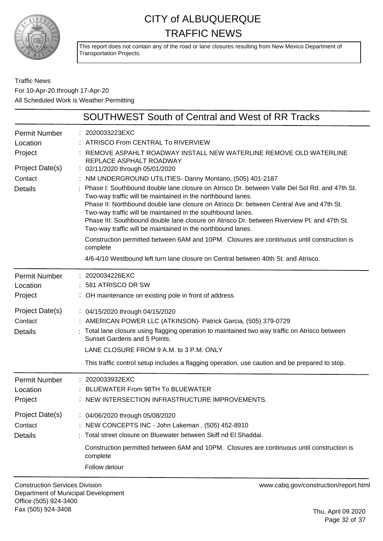

This report does not contain any of the road or lane closures resulting from New Mexico Department of Transportation Projects.

Traffic News For 10-Apr-20 through 17-Apr-20 All Scheduled Work is Weather Permitting

|                                  | SOUTHWEST South of Central and West of RR Tracks                                                                                                                                                                                                                                                                                                                                                                       |
|----------------------------------|------------------------------------------------------------------------------------------------------------------------------------------------------------------------------------------------------------------------------------------------------------------------------------------------------------------------------------------------------------------------------------------------------------------------|
| <b>Permit Number</b><br>Location | 2020033223EXC<br>: ATRISCO From CENTRAL To RIVERVIEW                                                                                                                                                                                                                                                                                                                                                                   |
| Project                          | REMOVE ASPAHLT ROADWAY INSTALL NEW WATERLINE REMOVE OLD WATERLINE<br>REPLACE ASPHALT ROADWAY                                                                                                                                                                                                                                                                                                                           |
| Project Date(s)                  | : 02/11/2020 through 05/01/2020                                                                                                                                                                                                                                                                                                                                                                                        |
| Contact                          | : NM UNDERGROUND UTILITIES- Danny Montano, (505) 401-2187                                                                                                                                                                                                                                                                                                                                                              |
| <b>Details</b>                   | Phase I: Southbound double lane closure on Atrisco Dr. between Valle Del Sol Rd. and 47th St.<br>Two-way traffic will be maintained in the northbound lanes.<br>Phase II: Northbound double lane closure on Atrisco Dr. between Central Ave and 47th St.<br>Two-way traffic will be maintained in the southbound lanes.<br>Phase III: Southbound double lane closure on Atrisco Dr. between Riverview PI. and 47th St. |
|                                  | Two-way traffic will be maintained in the northbound lanes.                                                                                                                                                                                                                                                                                                                                                            |
|                                  | Construction permitted between 6AM and 10PM. Closures are continuous until construction is<br>complete                                                                                                                                                                                                                                                                                                                 |
|                                  | 4/6-4/10 Westbound left turn lane closure on Central between 40th St. and Atrisco.                                                                                                                                                                                                                                                                                                                                     |
| <b>Permit Number</b>             | 2020034226EXC                                                                                                                                                                                                                                                                                                                                                                                                          |
| Location                         | 581 ATRISCO DR SW                                                                                                                                                                                                                                                                                                                                                                                                      |
| Project                          | : OH maintenance on existing pole in front of address.                                                                                                                                                                                                                                                                                                                                                                 |
| Project Date(s)                  | : 04/15/2020 through 04/15/2020                                                                                                                                                                                                                                                                                                                                                                                        |
| Contact                          | : AMERICAN POWER LLC (ATKINSON) - Patrick Garcia, (505) 379-0729                                                                                                                                                                                                                                                                                                                                                       |
| <b>Details</b>                   | Total lane closure using flagging operation to maintained two way traffic on Atrisco between<br>Sunset Gardens and 5 Points.                                                                                                                                                                                                                                                                                           |
|                                  | LANE CLOSURE FROM 9 A.M. to 3 P.M. ONLY                                                                                                                                                                                                                                                                                                                                                                                |
|                                  | This traffic control setup includes a flagging operation, use caution and be prepared to stop.                                                                                                                                                                                                                                                                                                                         |
| <b>Permit Number</b>             | 2020033932EXC                                                                                                                                                                                                                                                                                                                                                                                                          |
| Location                         | BLUEWATER From 98TH To BLUEWATER                                                                                                                                                                                                                                                                                                                                                                                       |
| Project                          | NEW INTERSECTION INFRASTRUCTURE IMPROVEMENTS.                                                                                                                                                                                                                                                                                                                                                                          |
| Project Date(s)                  | : 04/06/2020 through 05/08/2020                                                                                                                                                                                                                                                                                                                                                                                        |
| Contact                          | : NEW CONCEPTS INC - John Lakeman, (505) 452-8910                                                                                                                                                                                                                                                                                                                                                                      |
| <b>Details</b>                   | Total street closure on Bluewater between Skiff nd El Shaddai.                                                                                                                                                                                                                                                                                                                                                         |
|                                  | Construction permitted between 6AM and 10PM. Closures are continuous until construction is<br>complete                                                                                                                                                                                                                                                                                                                 |
|                                  | Follow detour                                                                                                                                                                                                                                                                                                                                                                                                          |

Construction Services Division Department of Municipal Development Office (505) 924-3400 Fax (505) 924-3408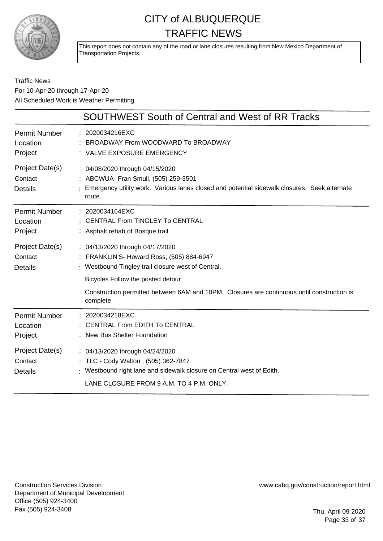

This report does not contain any of the road or lane closures resulting from New Mexico Department of Transportation Projects.

#### Traffic News For 10-Apr-20 through 17-Apr-20 All Scheduled Work is Weather Permitting

|                                              | <b>SOUTHWEST South of Central and West of RR Tracks</b>                                                                                                                                     |
|----------------------------------------------|---------------------------------------------------------------------------------------------------------------------------------------------------------------------------------------------|
| <b>Permit Number</b><br>Location<br>Project  | : 2020034216EXC<br>BROADWAY From WOODWARD To BROADWAY<br>: VALVE EXPOSURE EMERGENCY                                                                                                         |
| Project Date(s)<br>Contact<br><b>Details</b> | : 04/08/2020 through 04/15/2020<br>: ABCWUA- Fran Smull, (505) 259-3501<br>Emergency utility work. Various lanes closed and potential sidewalk closures. Seek alternate<br>route.           |
| <b>Permit Number</b><br>Location<br>Project  | : 2020034164EXC<br><b>CENTRAL From TINGLEY To CENTRAL</b><br>: Asphalt rehab of Bosque trail.                                                                                               |
| Project Date(s)<br>Contact<br><b>Details</b> | : 04/13/2020 through 04/17/2020<br>: FRANKLIN'S- Howard Ross, (505) 884-6947<br>: Westbound Tingley trail closure west of Central.<br>Bicycles Follow the posted detour                     |
|                                              | Construction permitted between 6AM and 10PM. Closures are continuous until construction is<br>complete                                                                                      |
| <b>Permit Number</b><br>Location<br>Project  | : 2020034218EXC<br><b>CENTRAL From EDITH To CENTRAL</b><br><b>New Bus Shelter Foundation</b>                                                                                                |
| Project Date(s)<br>Contact<br><b>Details</b> | : 04/13/2020 through 04/24/2020<br>: TLC - Cody Walton, (505) 362-7847<br>: Westbound right lane and sidewalk closure on Central west of Edith.<br>LANE CLOSURE FROM 9 A.M. TO 4 P.M. ONLY. |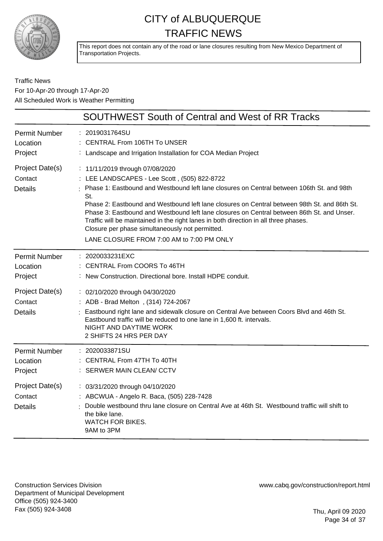

This report does not contain any of the road or lane closures resulting from New Mexico Department of Transportation Projects.

#### Traffic News For 10-Apr-20 through 17-Apr-20 All Scheduled Work is Weather Permitting

|                                                                                             | <b>SOUTHWEST South of Central and West of RR Tracks</b>                                                                                                                                                                                                                                                                                                                                                                                                                                                                                                                   |
|---------------------------------------------------------------------------------------------|---------------------------------------------------------------------------------------------------------------------------------------------------------------------------------------------------------------------------------------------------------------------------------------------------------------------------------------------------------------------------------------------------------------------------------------------------------------------------------------------------------------------------------------------------------------------------|
| <b>Permit Number</b><br>Location<br>Project                                                 | : 2019031764SU<br>: CENTRAL From 106TH To UNSER<br>: Landscape and Irrigation Installation for COA Median Project                                                                                                                                                                                                                                                                                                                                                                                                                                                         |
| Project Date(s)<br>Contact<br><b>Details</b>                                                | : 11/11/2019 through 07/08/2020<br>: LEE LANDSCAPES - Lee Scott, (505) 822-8722<br>Phase 1: Eastbound and Westbound left lane closures on Central between 106th St. and 98th<br>St.<br>Phase 2: Eastbound and Westbound left lane closures on Central between 98th St. and 86th St.<br>Phase 3: Eastbound and Westbound left lane closures on Central between 86th St. and Unser.<br>Traffic will be maintained in the right lanes in both direction in all three phases.<br>Closure per phase simultaneously not permitted.<br>LANE CLOSURE FROM 7:00 AM to 7:00 PM ONLY |
| <b>Permit Number</b><br>Location<br>Project<br>Project Date(s)<br>Contact<br><b>Details</b> | : 2020033231EXC<br>CENTRAL From COORS To 46TH<br>: New Construction. Directional bore. Install HDPE conduit.<br>: 02/10/2020 through 04/30/2020<br>: ADB - Brad Melton, (314) 724-2067<br>: Eastbound right lane and sidewalk closure on Central Ave between Coors Blvd and 46th St.<br>Eastbound traffic will be reduced to one lane in 1,600 ft. intervals.                                                                                                                                                                                                             |
| <b>Permit Number</b><br>Location<br>Project                                                 | NIGHT AND DAYTIME WORK<br>2 SHIFTS 24 HRS PER DAY<br>: 2020033871SU<br>CENTRAL From 47TH To 40TH<br>: SERWER MAIN CLEAN/ CCTV                                                                                                                                                                                                                                                                                                                                                                                                                                             |
| Project Date(s)<br>Contact<br><b>Details</b>                                                | : 03/31/2020 through 04/10/2020<br>: ABCWUA - Angelo R. Baca, (505) 228-7428<br>Double westbound thru lane closure on Central Ave at 46th St. Westbound traffic will shift to<br>the bike lane.<br><b>WATCH FOR BIKES.</b><br>9AM to 3PM                                                                                                                                                                                                                                                                                                                                  |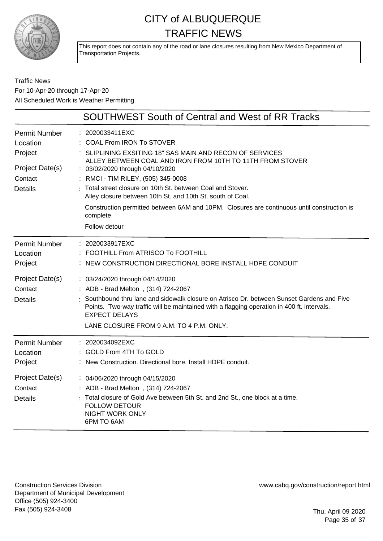

This report does not contain any of the road or lane closures resulting from New Mexico Department of Transportation Projects.

Traffic News For 10-Apr-20 through 17-Apr-20 All Scheduled Work is Weather Permitting

|                                                                                             | <b>SOUTHWEST South of Central and West of RR Tracks</b>                                                                                                                                                                                                                                                                                                                                                                                                                                           |
|---------------------------------------------------------------------------------------------|---------------------------------------------------------------------------------------------------------------------------------------------------------------------------------------------------------------------------------------------------------------------------------------------------------------------------------------------------------------------------------------------------------------------------------------------------------------------------------------------------|
| <b>Permit Number</b><br>Location<br>Project<br>Project Date(s)<br>Contact<br><b>Details</b> | 2020033411EXC<br>: COAL From IRON To STOVER<br>SLIPLINING EXSITING 18" SAS MAIN AND RECON OF SERVICES<br>ALLEY BETWEEN COAL AND IRON FROM 10TH TO 11TH FROM STOVER<br>: 03/02/2020 through 04/10/2020<br>: RMCI - TIM RILEY, (505) 345-0008<br>Total street closure on 10th St. between Coal and Stover.<br>Alley closure between 10th St. and 10th St. south of Coal.<br>Construction permitted between 6AM and 10PM. Closures are continuous until construction is<br>complete<br>Follow detour |
| <b>Permit Number</b><br>Location<br>Project<br>Project Date(s)<br>Contact<br><b>Details</b> | : 2020033917EXC<br>FOOTHILL From ATRISCO To FOOTHILL<br>: NEW CONSTRUCTION DIRECTIONAL BORE INSTALL HDPE CONDUIT<br>: 03/24/2020 through 04/14/2020<br>: ADB - Brad Melton, (314) 724-2067<br>Southbound thru lane and sidewalk closure on Atrisco Dr. between Sunset Gardens and Five<br>Points. Two-way traffic will be maintained with a flagging operation in 400 ft. intervals.<br><b>EXPECT DELAYS</b><br>LANE CLOSURE FROM 9 A.M. TO 4 P.M. ONLY.                                          |
| <b>Permit Number</b><br>Location<br>Project<br>Project Date(s)<br>Contact<br><b>Details</b> | : 2020034092EXC<br>: GOLD From 4TH To GOLD<br>: New Construction. Directional bore. Install HDPE conduit.<br>: 04/06/2020 through 04/15/2020<br>: ADB - Brad Melton, (314) 724-2067<br>Total closure of Gold Ave between 5th St. and 2nd St., one block at a time.<br><b>FOLLOW DETOUR</b><br><b>NIGHT WORK ONLY</b><br>6PM TO 6AM                                                                                                                                                                |

Construction Services Division Department of Municipal Development Office (505) 924-3400 Fax (505) 924-3408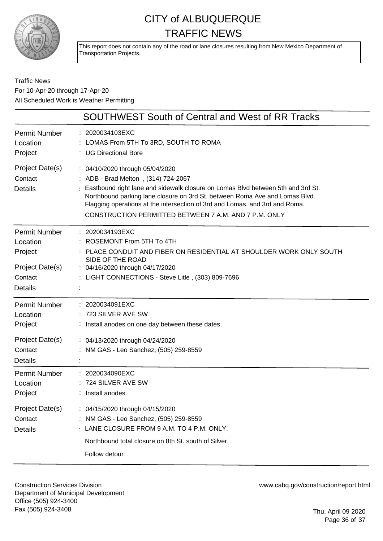

This report does not contain any of the road or lane closures resulting from New Mexico Department of Transportation Projects.

#### Traffic News For 10-Apr-20 through 17-Apr-20 All Scheduled Work is Weather Permitting

|                                                                                             | <b>SOUTHWEST South of Central and West of RR Tracks</b>                                                                                                                                                                                                                                                                                                                          |
|---------------------------------------------------------------------------------------------|----------------------------------------------------------------------------------------------------------------------------------------------------------------------------------------------------------------------------------------------------------------------------------------------------------------------------------------------------------------------------------|
| <b>Permit Number</b><br>Location<br>Project                                                 | : 2020034103EXC<br>: LOMAS From 5TH To 3RD, SOUTH TO ROMA<br>: UG Directional Bore                                                                                                                                                                                                                                                                                               |
| Project Date(s)<br>Contact<br><b>Details</b>                                                | : 04/10/2020 through 05/04/2020<br>: ADB - Brad Melton, (314) 724-2067<br>Eastbound right lane and sidewalk closure on Lomas Blvd between 5th and 3rd St.<br>Northbound parking lane closure on 3rd St. between Roma Ave and Lomas Blvd.<br>Flagging operations at the intersection of 3rd and Lomas, and 3rd and Roma.<br>CONSTRUCTION PERMITTED BETWEEN 7 A.M. AND 7 P.M. ONLY |
| <b>Permit Number</b><br>Location<br>Project<br>Project Date(s)<br>Contact<br><b>Details</b> | : 2020034193EXC<br>ROSEMONT From 5TH To 4TH<br>PLACE CONDUIT AND FIBER ON RESIDENTIAL AT SHOULDER WORK ONLY SOUTH<br>SIDE OF THE ROAD<br>: 04/16/2020 through 04/17/2020<br>: LIGHT CONNECTIONS - Steve Litle, (303) 809-7696                                                                                                                                                    |
| <b>Permit Number</b><br>Location<br>Project<br>Project Date(s)<br>Contact<br><b>Details</b> | : 2020034091EXC<br>723 SILVER AVE SW<br>: Install anodes on one day between these dates.<br>: 04/13/2020 through 04/24/2020<br>NM GAS - Leo Sanchez, (505) 259-8559                                                                                                                                                                                                              |
| <b>Permit Number</b><br>Location<br>Project<br>Project Date(s)<br>Contact<br><b>Details</b> | 2020034090EXC<br>724 SILVER AVE SW<br>Install anodes.<br>: 04/15/2020 through 04/15/2020<br>NM GAS - Leo Sanchez, (505) 259-8559<br>LANE CLOSURE FROM 9 A.M. TO 4 P.M. ONLY.<br>Northbound total closure on 8th St. south of Silver.<br>Follow detour                                                                                                                            |